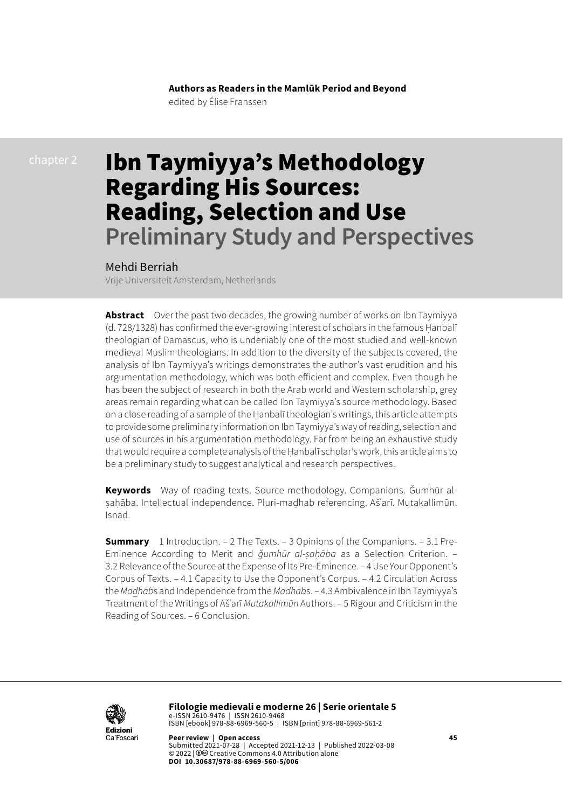**Authors as Readers in the Mamlūk Period and Beyond** edited by Élise Franssen

# Ibn Taymiyya's Methodology Regarding His Sources: Reading, Selection and Use **Preliminary Study and Perspectives**

#### Mehdi Berriah

Vrije Universiteit Amsterdam, Netherlands

**Abstract** Over the past two decades, the growing number of works on Ibn Taymiyya (d. 728/1328) has confirmed the ever-growing interest of scholars in the famous Hanbalī theologian of Damascus, who is undeniably one of the most studied and well-known medieval Muslim theologians. In addition to the diversity of the subjects covered, the analysis of Ibn Taymiyya's writings demonstrates the author's vast erudition and his argumentation methodology, which was both efficient and complex. Even though he has been the subject of research in both the Arab world and Western scholarship, grey areas remain regarding what can be called Ibn Taymiyya's source methodology. Based on a close reading of a sample of the Ḥanbalī theologian's writings, this article attempts to provide some preliminary information on Ibn Taymiyya's way of reading, selection and use of sources in his argumentation methodology. Far from being an exhaustive study that would require a complete analysis of the Ḥanbalī scholar's work, this article aims to be a preliminary study to suggest analytical and research perspectives.

**Keywords** Way of reading texts. Source methodology. Companions. Ǧumhūr alsahāba. Intellectual independence. Pluri-madhab referencing. Ašʿarī. Mutakallimūn. Isnād.

**Summary** [1 Introduction.](#page-1-0) – [2 The Texts](#page-4-0). – [3 Opinions of the Companions](#page-6-0). – 3.1 [Pre-](#page-7-0)[Eminence According to Merit and](#page-7-0) *ǧumhūr al-ṣaḥāba* as a Selection Criterion. – 3.2 [Relevance of the Source at the Expense of Its Pre-Eminence](#page-13-0). – [4 Use Your Opponent's](#page-15-0)  [Corpus of Texts.](#page-15-0) – [4.1 Capacity to Use the Opponent's Corpus](#page-15-0). – [4.2 Circulation Across](#page-17-0)  the *Madhab*[s and Independence from the](#page-17-0) *Madhab*s. – 4.3 Ambivalence in Ibn Taymiyya's [Treatment of the Writings of Ašʿarī](#page-20-0) *Mutakallimūn* Authors. – [5 Rigour and Criticism in the](#page-24-0)  [Reading of Sources](#page-24-0). – [6 Conclusion.](#page-29-0)



**Filologie medievali e moderne 26 | Serie orientale 5**  e-ISSN 2610-9476 | ISSN 2610-9468 ISBN [ebook] 978-88-6969-560-5 | ISBN [print] 978-88-6969-561-2

**Peer review | Open access 45** Submitted 2021-07-28 | Accepted 2021-12-13 | Published 2022-03-08 © 2022 | 0<sup>c</sup> [Creative Commons 4.0 Attribution alone](https://creativecommons.org/licenses/by/4.0/) **DOI 10.30687/978-88-6969-560-5/006**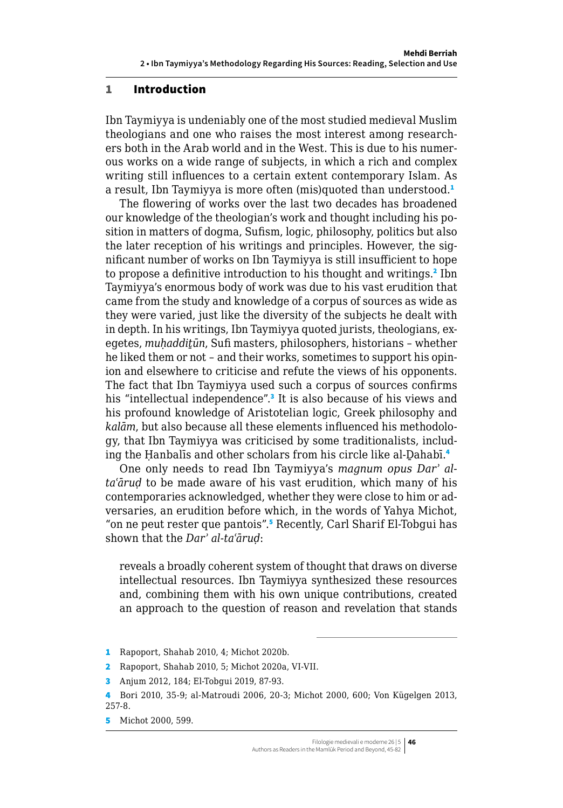#### <span id="page-1-0"></span>1 Introduction

Ibn Taymiyya is undeniably one of the most studied medieval Muslim theologians and one who raises the most interest among researchers both in the Arab world and in the West. This is due to his numerous works on a wide range of subjects, in which a rich and complex writing still influences to a certain extent contemporary Islam. As a result, Ibn Taymiyya is more often (mis)quoted than understood.<sup>1</sup>

The flowering of works over the last two decades has broadened our knowledge of the theologian's work and thought including his position in matters of dogma, Sufism, logic, philosophy, politics but also the later reception of his writings and principles. However, the significant number of works on Ibn Taymiyya is still insufficient to hope to propose a definitive introduction to his thought and writings.<sup>2</sup> Ibn Taymiyya's enormous body of work was due to his vast erudition that came from the study and knowledge of a corpus of sources as wide as they were varied, just like the diversity of the subjects he dealt with in depth. In his writings, Ibn Taymiyya quoted jurists, theologians, exegetes, *muḥaddiṯūn*, Sufi masters, philosophers, historians – whether he liked them or not – and their works, sometimes to support his opinion and elsewhere to criticise and refute the views of his opponents. The fact that Ibn Taymiyya used such a corpus of sources confirms his "intellectual independence".<sup>3</sup> It is also because of his views and his profound knowledge of Aristotelian logic, Greek philosophy and *kalām*, but also because all these elements influenced his methodology, that Ibn Taymiyya was criticised by some traditionalists, including the Hanbalis and other scholars from his circle like al-Dahabī.<sup>4</sup>

One only needs to read Ibn Taymiyya's *magnum opus Darʾ altaʿāruḍ* to be made aware of his vast erudition, which many of his contemporaries acknowledged, whether they were close to him or adversaries, an erudition before which, in the words of Yahya Michot, "on ne peut rester que pantois".<sup>5</sup> Recently, Carl Sharif El-Tobgui has shown that the *Darʾ al-taʿāruḍ*:

reveals a broadly coherent system of thought that draws on diverse intellectual resources. Ibn Taymiyya synthesized these resources and, combining them with his own unique contributions, created an approach to the question of reason and revelation that stands

<sup>1</sup> Rapoport, Shahab 2010, 4; Michot 2020b.

<sup>2</sup> Rapoport, Shahab 2010, 5; Michot 2020a, VI-VII.

<sup>3</sup> Anjum 2012, 184; El-Tobgui 2019, 87-93.

<sup>4</sup> Bori 2010, 35-9; al-Matroudi 2006, 20-3; Michot 2000, 600; Von Kügelgen 2013, 257-8.

<sup>5</sup> Michot 2000, 599.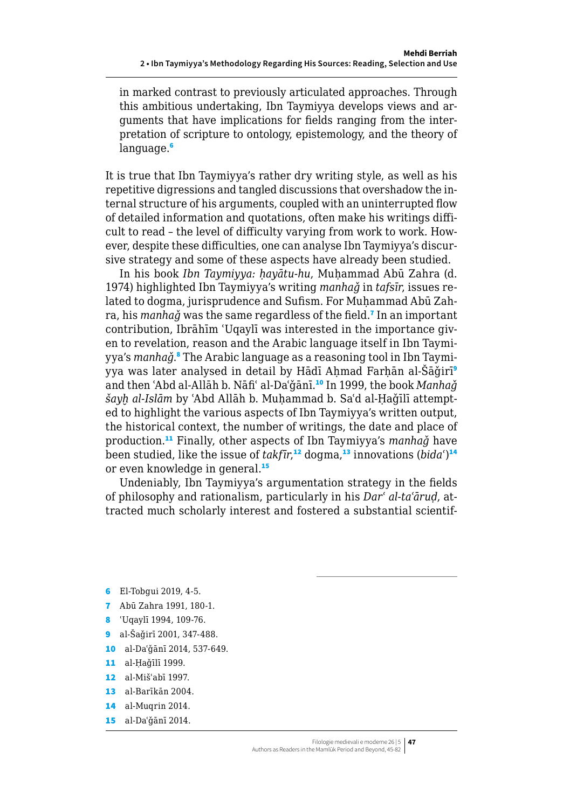in marked contrast to previously articulated approaches. Through this ambitious undertaking, Ibn Taymiyya develops views and arguments that have implications for fields ranging from the interpretation of scripture to ontology, epistemology, and the theory of language.<sup>6</sup>

It is true that Ibn Taymiyya's rather dry writing style, as well as his repetitive digressions and tangled discussions that overshadow the internal structure of his arguments, coupled with an uninterrupted flow of detailed information and quotations, often make his writings difficult to read – the level of difficulty varying from work to work. However, despite these difficulties, one can analyse Ibn Taymiyya's discursive strategy and some of these aspects have already been studied.

In his book *Ibn Taymiyya: ḥayātu-hu*, Muḥammad Abū Zahra (d. 1974) highlighted Ibn Taymiyya's writing *manhaǧ* in *tafsīr*, issues related to dogma, jurisprudence and Sufism. For Muhammad Abū Zahra, his *manhaǧ* was the same regardless of the field.<sup>7</sup> In an important contribution, Ibrāhīm ʿUqaylī was interested in the importance given to revelation, reason and the Arabic language itself in Ibn Taymiyya's *manhaǧ*.® The Arabic language as a reasoning tool in Ibn Taymiyya was later analysed in detail by Hādī Ahmad Farhān al-Šāğirī<sup>9</sup> and then ʿAbd al-Allāh b. Nāfiʿ al-Daʿǧānī.<sup>10</sup> In 1999, the book *Manhaǧ šayḫ al-Islām* by ʿAbd Allāh b. Muḥammad b. Saʿd al-Ḥaǧīlī attempted to highlight the various aspects of Ibn Taymiyya's written output, the historical context, the number of writings, the date and place of production.<sup>11</sup> Finally, other aspects of Ibn Taymiyya's *manhaǧ* have been studied, like the issue of *takfīr*, $^{\bf 12}$  dogma, $^{\bf 13}$  innovations (*bida*´) $^{\bf 14}$ or even knowledge in general.<sup>15</sup>

Undeniably, Ibn Taymiyya's argumentation strategy in the fields of philosophy and rationalism, particularly in his *Darʿ al-taʿāruḍ*, attracted much scholarly interest and fostered a substantial scientif-

- 6 El-Tobgui 2019, 4-5.
- 7 Abū Zahra 1991, 180-1.
- 8 ʿUqaylī 1994, 109-76.
- 9 al-Šaǧirī 2001, 347-488.
- 10 al-Daʿǧānī 2014, 537-649.
- 11 al-Ḥaǧīlī 1999.
- 12 al-Mišʿabī 1997.
- 13 al-Barīkān 2004.
- 14 al-Muqrin 2014.
- 15 al-Daʿǧānī 2014.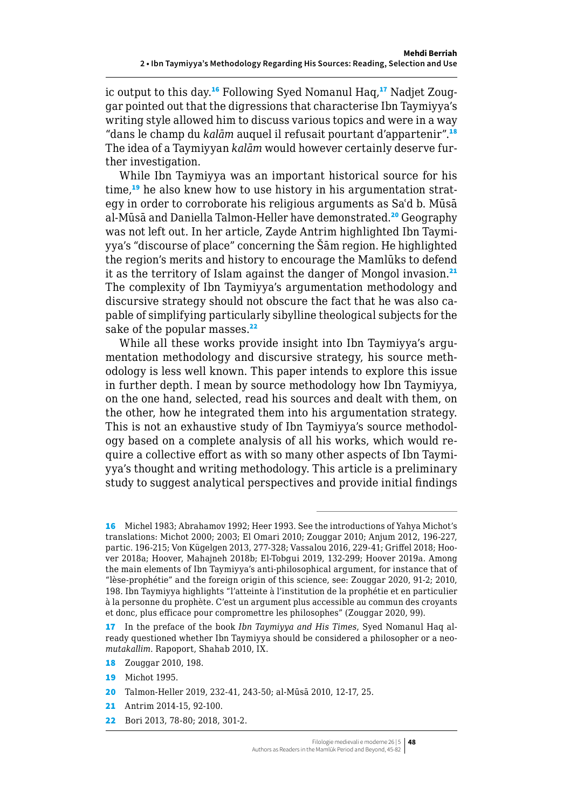ic output to this day.16 Following Syed Nomanul Haq,17 Nadjet Zouggar pointed out that the digressions that characterise Ibn Taymiyya's writing style allowed him to discuss various topics and were in a way "dans le champ du *kalām* auquel il refusait pourtant d'appartenir".<sup>18</sup> The idea of a Taymiyyan *kalām* would however certainly deserve further investigation.

While Ibn Taymiyya was an important historical source for his time,<sup>19</sup> he also knew how to use history in his argumentation strategy in order to corroborate his religious arguments as Saʿd b. Mūsā al-Mūsā and Daniella Talmon-Heller have demonstrated.<sup>20</sup> Geography was not left out. In her article, Zayde Antrim highlighted Ibn Taymiyya's "discourse of place" concerning the Šām region. He highlighted the region's merits and history to encourage the Mamlūks to defend it as the territory of Islam against the danger of Mongol invasion.<sup>21</sup> The complexity of Ibn Taymiyya's argumentation methodology and discursive strategy should not obscure the fact that he was also capable of simplifying particularly sibylline theological subjects for the sake of the popular masses.<sup>22</sup>

While all these works provide insight into Ibn Taymiyya's argumentation methodology and discursive strategy, his source methodology is less well known. This paper intends to explore this issue in further depth. I mean by source methodology how Ibn Taymiyya, on the one hand, selected, read his sources and dealt with them, on the other, how he integrated them into his argumentation strategy. This is not an exhaustive study of Ibn Taymiyya's source methodology based on a complete analysis of all his works, which would require a collective effort as with so many other aspects of Ibn Taymiyya's thought and writing methodology. This article is a preliminary study to suggest analytical perspectives and provide initial findings

<sup>16</sup> Michel 1983; Abrahamov 1992; Heer 1993. See the introductions of Yahya Michot's translations: Michot 2000; 2003; El Omari 2010; Zouggar 2010; Anjum 2012, 196-227, partic. 196-215; Von Kügelgen 2013, 277-328; Vassalou 2016, 229-41; Griffel 2018; Hoover 2018a; Hoover, Mahajneh 2018b; El-Tobgui 2019, 132-299; Hoover 2019a. Among the main elements of Ibn Taymiyya's anti-philosophical argument, for instance that of "lèse-prophétie" and the foreign origin of this science, see: Zouggar 2020, 91-2; 2010, 198. Ibn Taymiyya highlights "l'atteinte à l'institution de la prophétie et en particulier à la personne du prophète. C'est un argument plus accessible au commun des croyants et donc, plus efficace pour compromettre les philosophes" (Zouggar 2020, 99).

<sup>17</sup> In the preface of the book *Ibn Taymiyya and His Times*, Syed Nomanul Haq already questioned whether Ibn Taymiyya should be considered a philosopher or a neo*mutakallim*. Rapoport, Shahab 2010, IX.

<sup>18</sup> Zouggar 2010, 198.

<sup>19</sup> Michot 1995.

<sup>20</sup> Talmon-Heller 2019, 232-41, 243-50; al-Mūsā 2010, 12-17, 25.

<sup>21</sup> Antrim 2014-15, 92-100.

<sup>22</sup> Bori 2013, 78-80; 2018, 301-2.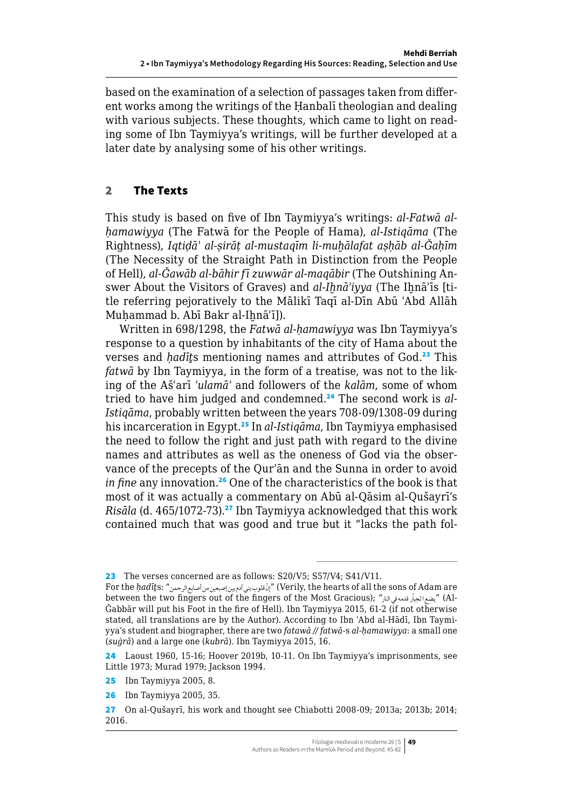<span id="page-4-0"></span>based on the examination of a selection of passages taken from different works among the writings of the Ḥanbalī theologian and dealing with various subjects. These thoughts, which came to light on reading some of Ibn Taymiyya's writings, will be further developed at a later date by analysing some of his other writings.

## 2 The Texts

This study is based on five of Ibn Taymiyya's writings: *al-Fatwā alḥamawiyya* (The Fatwā for the People of Hama), *al-Istiqāma* (The Rightness), *Iqtiḍāʾ al-ṣirāṭ al-mustaqīm li-muḫālafat aṣḥāb al-Ǧaḥīm* (The Necessity of the Straight Path in Distinction from the People of Hell), *al-Ǧawāb al-bāhir fī zuwwār al-maqābir* (The Outshining Answer About the Visitors of Graves) and *al-Ihnā'iyya* (The Ihnā'īs [title referring pejoratively to the Mālikī Taqī al-Dīn Abū ʿAbd Allāh Muhammad b. Abī Bakr al-Ihnā'ī]).

Written in 698/1298, the *Fatwā al-ḥamawiyya* was Ibn Taymiyya's response to a question by inhabitants of the city of Hama about the verses and *hadīts* mentioning names and attributes of God.<sup>23</sup> This *fatwā* by Ibn Taymiyya, in the form of a treatise, was not to the liking of the Ašʿarī *ʿulamāʾ* and followers of the *kalām*, some of whom tried to have him judged and condemned.24 The second work is *al-Istiqāma*, probably written between the years 708-09/1308-09 during his incarceration in Egypt.<sup>25</sup> In *al-Istiqāma*, Ibn Taymiyya emphasised the need to follow the right and just path with regard to the divine names and attributes as well as the oneness of God via the observance of the precepts of the Qurʾān and the Sunna in order to avoid *in fine* any innovation.<sup>26</sup> One of the characteristics of the book is that most of it was actually a commentary on Abū al-Qāsim al-Qušayrī's *Risāla* (d. 465/1072-73).<sup>27</sup> Ibn Taymiyya acknowledged that this work contained much that was good and true but it "lacks the path fol-

<sup>23</sup> The verses concerned are as follows: S20/V5; S57/V4; S41/V11.

For the *ḥadīṯ*s: "الرحمن أصابع من إصبعين بين آدم بني قلوب إنّ) " Verily, the hearts of all the sons of Adam are -Al) "يضع الجبّار قدمه في النار" : between the two fingers out of the fingers of the Most Gracious) Ǧabbār will put his Foot in the fire of Hell). Ibn Taymiyya 2015, 61-2 (if not otherwise stated, all translations are by the Author). According to Ibn ʿAbd al-Hādī, Ibn Taymiyya's student and biographer, there are two *fatawā // fatwā*-s *al-ḥamawiyya*: a small one (*suġrā*) and a large one (*kubrā*). Ibn Taymiyya 2015, 16.

<sup>24</sup> Laoust 1960, 15-16; Hoover 2019b, 10-11. On Ibn Taymiyya's imprisonments, see Little 1973; Murad 1979; Jackson 1994.

<sup>25</sup> Ibn Taymiyya 2005, 8.

<sup>26</sup> Ibn Taymiyya 2005, 35.

<sup>27</sup> On al-Qušayrī, his work and thought see Chiabotti 2008-09; 2013a; 2013b; 2014; 2016.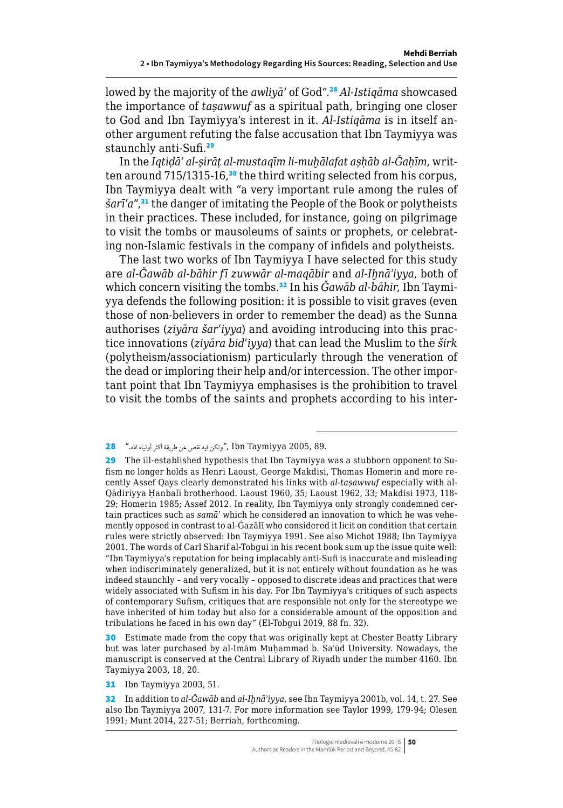lowed by the majority of the *awliyāʾ* of God".<sup>28</sup> *Al-Istiqāma* showcased the importance of *taṣawwuf* as a spiritual path, bringing one closer to God and Ibn Taymiyya's interest in it. *Al-Istiqāma* is in itself another argument refuting the false accusation that Ibn Taymiyya was staunchly anti-Sufi.<sup>29</sup>

In the *Iqtiḍāʾ al-ṣirāṭ al-mustaqīm li-muḫālafat aṣḥāb al-Ǧaḥīm*, written around 715/1315-16,<sup>30</sup> the third writing selected from his corpus, Ibn Taymiyya dealt with "a very important rule among the rules of *šarīʿa*",<sup>31</sup> the danger of imitating the People of the Book or polytheists in their practices. These included, for instance, going on pilgrimage to visit the tombs or mausoleums of saints or prophets, or celebrating non-Islamic festivals in the company of infidels and polytheists.

The last two works of Ibn Taymiyya I have selected for this study are *al-Ǧawāb al-bāhir fī zuwwār al-maqābir* and *al-Iḫnāʾiyya*, both of which concern visiting the tombs.<sup>32</sup> In his *Ğawāb al-bāhir*, Ibn Taymiyya defends the following position: it is possible to visit graves (even those of non-believers in order to remember the dead) as the Sunna authorises (*ziyāra šarʿiyya*) and avoiding introducing into this practice innovations (*ziyāra bidʿiyya*) that can lead the Muslim to the *širk* (polytheism/associationism) particularly through the veneration of the dead or imploring their help and/or intercession. The other important point that Ibn Taymiyya emphasises is the prohibition to travel to visit the tombs of the saints and prophets according to his inter-

30 Estimate made from the copy that was originally kept at Chester Beatty Library but was later purchased by al-Imām Muḥammad b. Saʿūd University. Nowadays, the manuscript is conserved at the Central Library of Riyadh under the number 4160. Ibn Taymiyya 2003, 18, 20.

31 Ibn Taymiyya 2003, 51.

32 In addition to *al-Ǧawāb* and *al-Iḫnāʾiyya*, see Ibn Taymiyya 2001b, vol. 14, t. 27. See also Ibn Taymiyya 2007, 131-7. For more information see Taylor 1999, 179-94; Olesen 1991; Munt 2014, 227-51; Berriah, forthcoming.

<sup>28</sup> ".اهلل أكثرأولياء طريقة عن نقص فيه ولكن", Ibn Taymiyya 2005, 89.

<sup>29</sup> The ill-established hypothesis that Ibn Taymiyya was a stubborn opponent to Sufism no longer holds as Henri Laoust, George Makdisi, Thomas Homerin and more recently Assef Qays clearly demonstrated his links with *al-taṣawwuf* especially with al-Qādiriyya Ḥanbalī brotherhood. Laoust 1960, 35; Laoust 1962, 33; Makdisi 1973, 118- 29; Homerin 1985; Assef 2012. In reality, Ibn Taymiyya only strongly condemned certain practices such as *samāʿ* which he considered an innovation to which he was vehemently opposed in contrast to al-Ġazālī who considered it licit on condition that certain rules were strictly observed: Ibn Taymiyya 1991. See also Michot 1988; Ibn Taymiyya 2001. The words of Carl Sharif al-Tobgui in his recent book sum up the issue quite well: "Ibn Taymiyya's reputation for being implacably anti-Sufi is inaccurate and misleading when indiscriminately generalized, but it is not entirely without foundation as he was indeed staunchly – and very vocally – opposed to discrete ideas and practices that were widely associated with Sufism in his day. For Ibn Taymiyya's critiques of such aspects of contemporary Sufism, critiques that are responsible not only for the stereotype we have inherited of him today but also for a considerable amount of the opposition and tribulations he faced in his own day" (El-Tobgui 2019, 88 fn. 32).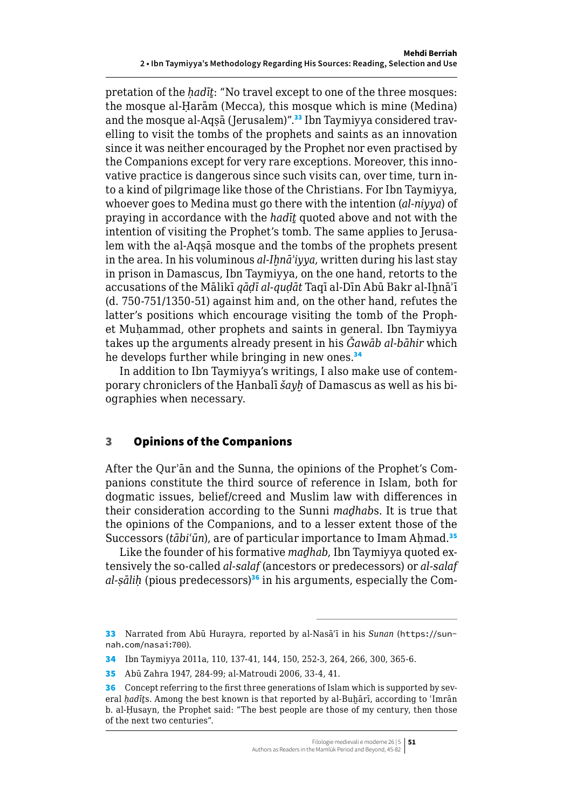<span id="page-6-0"></span>pretation of the *hadīt*: "No travel except to one of the three mosques: the mosque al-Ḥarām (Mecca), this mosque which is mine (Medina) and the mosque al-Aqṣā (Jerusalem)".<sup>33</sup> Ibn Taymiyya considered travelling to visit the tombs of the prophets and saints as an innovation since it was neither encouraged by the Prophet nor even practised by the Companions except for very rare exceptions. Moreover, this innovative practice is dangerous since such visits can, over time, turn into a kind of pilgrimage like those of the Christians. For Ibn Taymiyya, whoever goes to Medina must go there with the intention (*al-niyya*) of praying in accordance with the *hadīṯ* quoted above and not with the intention of visiting the Prophet's tomb. The same applies to Jerusalem with the al-Aqṣā mosque and the tombs of the prophets present in the area. In his voluminous *al-Ihnā'iyya*, written during his last stay in prison in Damascus, Ibn Taymiyya, on the one hand, retorts to the accusations of the Mālikī *qāḍī al-quḍāt* Taqī al-Dīn Abū Bakr al-Iḫnāʾī (d. 750-751/1350-51) against him and, on the other hand, refutes the latter's positions which encourage visiting the tomb of the Prophet Muḥammad, other prophets and saints in general. Ibn Taymiyya takes up the arguments already present in his *Ǧawāb al-bāhir* which he develops further while bringing in new ones.<sup>34</sup>

In addition to Ibn Taymiyya's writings, I also make use of contemporary chroniclers of the Ḥanbalī *šayḫ* of Damascus as well as his biographies when necessary.

#### 3 Opinions of the Companions

After the Qurʾān and the Sunna, the opinions of the Prophet's Companions constitute the third source of reference in Islam, both for dogmatic issues, belief/creed and Muslim law with differences in their consideration according to the Sunni *maḏhab*s. It is true that the opinions of the Companions, and to a lesser extent those of the Successors (*tābi'ūn*), are of particular importance to Imam Ahmad.<sup>35</sup>

Like the founder of his formative *maḏhab*, Ibn Taymiyya quoted extensively the so-called *al-salaf* (ancestors or predecessors) or *al-salaf al-sālih* (pious predecessors)<sup>36</sup> in his arguments, especially the Com-

<sup>33</sup> Narrated from Abū Hurayra, reported by al-Nasāʾī in his *Sunan* ([https://sun](https://sunnah.com/nasai:700)[nah.com/nasai:700](https://sunnah.com/nasai:700)).

<sup>34</sup> Ibn Taymiyya 2011a, 110, 137-41, 144, 150, 252-3, 264, 266, 300, 365-6.

<sup>35</sup> Abū Zahra 1947, 284-99; al-Matroudi 2006, 33-4, 41.

<sup>36</sup> Concept referring to the first three generations of Islam which is supported by several *ḥadīṯ*s. Among the best known is that reported by al-Buḫārī, according to ʿImrān b. al-Ḥusayn, the Prophet said: "The best people are those of my century, then those of the next two centuries".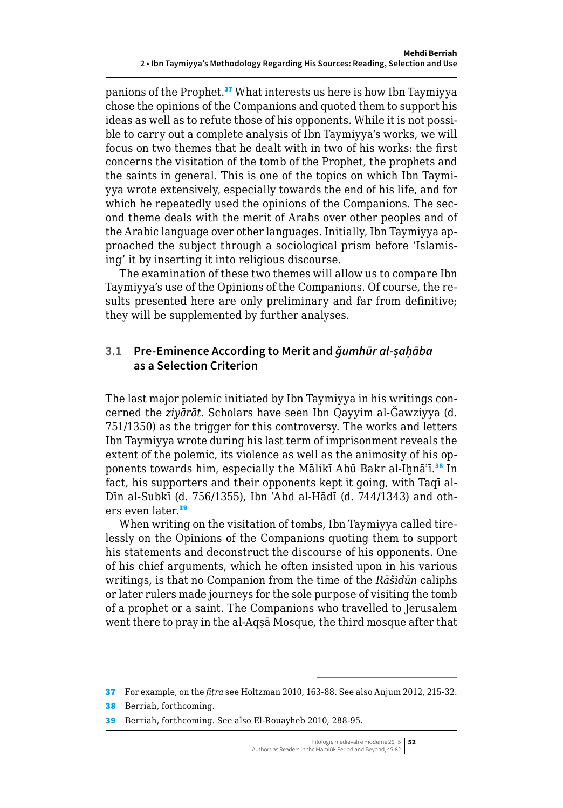<span id="page-7-0"></span>panions of the Prophet.<sup>37</sup> What interests us here is how Ibn Taymiyya chose the opinions of the Companions and quoted them to support his ideas as well as to refute those of his opponents. While it is not possible to carry out a complete analysis of Ibn Taymiyya's works, we will focus on two themes that he dealt with in two of his works: the first concerns the visitation of the tomb of the Prophet, the prophets and the saints in general. This is one of the topics on which Ibn Taymiyya wrote extensively, especially towards the end of his life, and for which he repeatedly used the opinions of the Companions. The second theme deals with the merit of Arabs over other peoples and of the Arabic language over other languages. Initially, Ibn Taymiyya approached the subject through a sociological prism before 'Islamising' it by inserting it into religious discourse.

The examination of these two themes will allow us to compare Ibn Taymiyya's use of the Opinions of the Companions. Of course, the results presented here are only preliminary and far from definitive; they will be supplemented by further analyses.

## **3.1 Pre-Eminence According to Merit and** *ǧumhūr al-ṣaḥāba* **as a Selection Criterion**

The last major polemic initiated by Ibn Taymiyya in his writings concerned the *ziyārāt*. Scholars have seen Ibn Qayyim al-Ǧawziyya (d. 751/1350) as the trigger for this controversy. The works and letters Ibn Taymiyya wrote during his last term of imprisonment reveals the extent of the polemic, its violence as well as the animosity of his opponents towards him, especially the Mālikī Abū Bakr al-Iḫnā'ī.<sup>38</sup> In fact, his supporters and their opponents kept it going, with Taqī al-Dīn al-Subkī (d. 756/1355), Ibn ʿAbd al-Hādī (d. 744/1343) and others even later.<sup>39</sup>

When writing on the visitation of tombs, Ibn Taymiyya called tirelessly on the Opinions of the Companions quoting them to support his statements and deconstruct the discourse of his opponents. One of his chief arguments, which he often insisted upon in his various writings, is that no Companion from the time of the *Rāšidūn* caliphs or later rulers made journeys for the sole purpose of visiting the tomb of a prophet or a saint. The Companions who travelled to Jerusalem went there to pray in the al-Aqsa Mosque, the third mosque after that

<sup>37</sup> For example, on the *fiṭra* see Holtzman 2010, 163-88. See also Anjum 2012, 215-32.

<sup>38</sup> Berriah, forthcoming.

<sup>39</sup> Berriah, forthcoming. See also El-Rouayheb 2010, 288-95.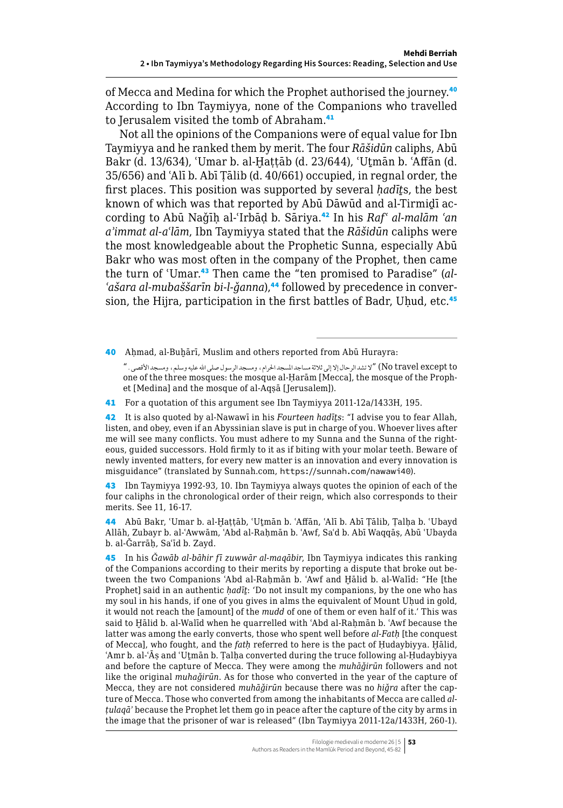of Mecca and Medina for which the Prophet authorised the journey.<sup>40</sup> According to Ibn Taymiyya, none of the Companions who travelled to Jerusalem visited the tomb of Abraham.<sup>41</sup>

Not all the opinions of the Companions were of equal value for Ibn Taymiyya and he ranked them by merit. The four *Rāšidūn* caliphs, Abū Bakr (d. 13/634), ʿUmar b. al-Ḫaṭṭāb (d. 23/644), ʿUṯmān b. ʿAffān (d. 35/656) and ʿAlī b. Abī Ṭālib (d. 40/661) occupied, in regnal order, the first places. This position was supported by several *ḥadīṯ*s, the best known of which was that reported by Abū Dāwūd and al-Tirmiḏī according to Abū Naǧīḥ al-ʿIrbāḍ b. Sāriya.<sup>42</sup> In his *Rafʿ al-malām ʿan aʾimmat al-aʿlām*, Ibn Taymiyya stated that the *Rāšidūn* caliphs were the most knowledgeable about the Prophetic Sunna, especially Abū Bakr who was most often in the company of the Prophet, then came the turn of ʿUmar.43 Then came the "ten promised to Paradise" (*al-ʿašara al-mubaššarīn bi-l-ǧanna*),44 followed by precedence in conversion, the Hijra, participation in the first battles of Badr, Uhud, etc.<sup>45</sup>

40 Ahmad, al-Buḥārī, Muslim and others reported from Abū Hurayra:

 to except travel No" (ال تشد الرحال إال إلى ثالثة مساجد املسجد احلرام، ومسجد الرسول صلى اهلل عليه وسلم، ومسجد األقصى." one of the three mosques: the mosque al-Ḥarām [Mecca], the mosque of the Prophet [Medina] and the mosque of al-Aqṣā [Jerusalem]).

41 For a quotation of this argument see Ibn Taymiyya 2011-12a/1433H, 195.

42 It is also quoted by al-Nawawī in his *Fourteen hadīṯs*: "I advise you to fear Allah, listen, and obey, even if an Abyssinian slave is put in charge of you. Whoever lives after me will see many conflicts. You must adhere to my Sunna and the Sunna of the righteous, guided successors. Hold firmly to it as if biting with your molar teeth. Beware of newly invented matters, for every new matter is an innovation and every innovation is misguidance" (translated by [Sunnah.com,](http://Sunnah.com) <https://sunnah.com/nawawi40>).

43 Ibn Taymiyya 1992-93*,* 10. Ibn Taymiyya always quotes the opinion of each of the four caliphs in the chronological order of their reign, which also corresponds to their merits. See 11, 16-17.

44 Abū Bakr, 'Umar b. al-Hattāb, 'Utmān b. 'Affān, 'Alī b. Abī Tālib, Talha b. 'Ubayd Allāh, Zubayr b. al-ʿAwwām, ʿAbd al-Raḥmān b. ʿAwf, Saʿd b. Abī Waqqāṣ, Abū ʿUbayda b. al-Ǧarrāḥ, Saʿīd b. Zayd.

45 In his *Ǧawāb al-bāhir fī zuwwār al-maqābir*, Ibn Taymiyya indicates this ranking of the Companions according to their merits by reporting a dispute that broke out between the two Companions `Abd al-Rahmān b. `Awf and Hālid b. al-Walīd: "He [the Prophet] said in an authentic *ḥadīṯ*: 'Do not insult my companions, by the one who has my soul in his hands, if one of you gives in alms the equivalent of Mount Uhud in gold, it would not reach the [amount] of the *mudd* of one of them or even half of it.' This was said to Hālid b. al-Walīd when he quarrelled with 'Abd al-Rahmān b. 'Awf because the latter was among the early converts, those who spent well before *al-Fatḥ* [the conquest of Mecca], who fought, and the *fatḥ* referred to here is the pact of Ḥudaybiyya. Ḫālid, ʿAmr b. al-ʿĀṣ and ʿUṯmān b. Ṭalḥa converted during the truce following al-Ḥudaybiyya and before the capture of Mecca. They were among the *muhāǧirūn* followers and not like the original *muhaǧirūn*. As for those who converted in the year of the capture of Mecca, they are not considered *muhāǧirūn* because there was no *hiǧra* after the capture of Mecca. Those who converted from among the inhabitants of Mecca are called *alṭulaqāʾ* because the Prophet let them go in peace after the capture of the city by arms in the image that the prisoner of war is released" (Ibn Taymiyya 2011-12a/1433H, 260-1).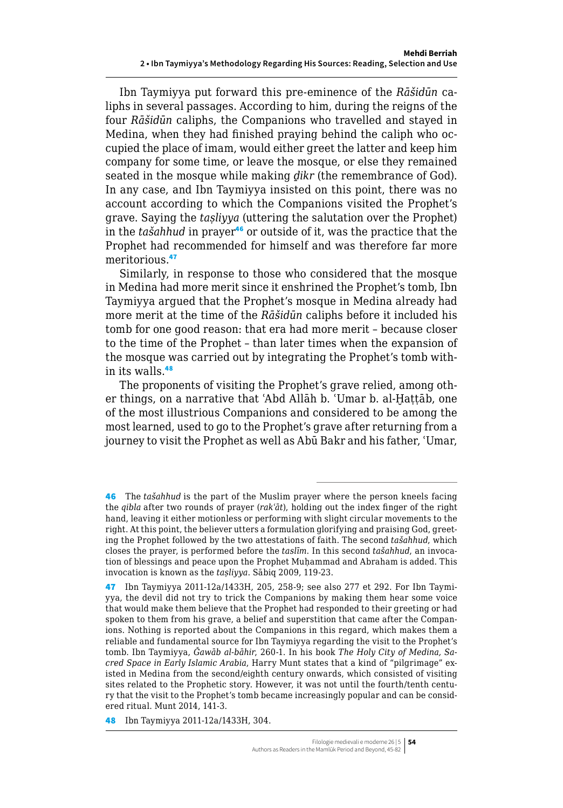Ibn Taymiyya put forward this pre-eminence of the *Rāšidūn* caliphs in several passages. According to him, during the reigns of the four *Rāšidūn* caliphs, the Companions who travelled and stayed in Medina, when they had finished praying behind the caliph who occupied the place of imam, would either greet the latter and keep him company for some time, or leave the mosque, or else they remained seated in the mosque while making *ḏikr* (the remembrance of God). In any case, and Ibn Taymiyya insisted on this point, there was no account according to which the Companions visited the Prophet's grave. Saying the *taṣliyya* (uttering the salutation over the Prophet) in the *tašahhud* in prayer<sup>46</sup> or outside of it, was the practice that the Prophet had recommended for himself and was therefore far more meritorious.<sup>47</sup>

Similarly, in response to those who considered that the mosque in Medina had more merit since it enshrined the Prophet's tomb, Ibn Taymiyya argued that the Prophet's mosque in Medina already had more merit at the time of the *Rāšidūn* caliphs before it included his tomb for one good reason: that era had more merit – because closer to the time of the Prophet – than later times when the expansion of the mosque was carried out by integrating the Prophet's tomb within its walls.<sup>48</sup>

The proponents of visiting the Prophet's grave relied, among other things, on a narrative that 'Abd Allāh b. 'Umar b. al-Hattāb, one of the most illustrious Companions and considered to be among the most learned, used to go to the Prophet's grave after returning from a journey to visit the Prophet as well as Abū Bakr and his father, ʿUmar,

48 Ibn Taymiyya 2011-12a/1433H, 304.

<sup>46</sup> The *tašahhud* is the part of the Muslim prayer where the person kneels facing the *qibla* after two rounds of prayer (*rakʿāt*), holding out the index finger of the right hand, leaving it either motionless or performing with slight circular movements to the right. At this point, the believer utters a formulation glorifying and praising God, greeting the Prophet followed by the two attestations of faith. The second *tašahhud*, which closes the prayer, is performed before the *taslīm*. In this second *tašahhud*, an invocation of blessings and peace upon the Prophet Muhammad and Abraham is added. This invocation is known as the *taṣliyya*. Sābiq 2009, 119-23.

<sup>47</sup> Ibn Taymiyya 2011-12a/1433H, 205, 258-9; see also 277 et 292. For Ibn Taymiyya, the devil did not try to trick the Companions by making them hear some voice that would make them believe that the Prophet had responded to their greeting or had spoken to them from his grave, a belief and superstition that came after the Companions. Nothing is reported about the Companions in this regard, which makes them a reliable and fundamental source for Ibn Taymiyya regarding the visit to the Prophet's tomb. Ibn Taymiyya, *Ǧawāb al-bāhir*, 260-1. In his book *The Holy City of Medina, Sacred Space in Early Islamic Arabia*, Harry Munt states that a kind of "pilgrimage" existed in Medina from the second/eighth century onwards, which consisted of visiting sites related to the Prophetic story. However, it was not until the fourth/tenth century that the visit to the Prophet's tomb became increasingly popular and can be considered ritual. Munt 2014, 141-3.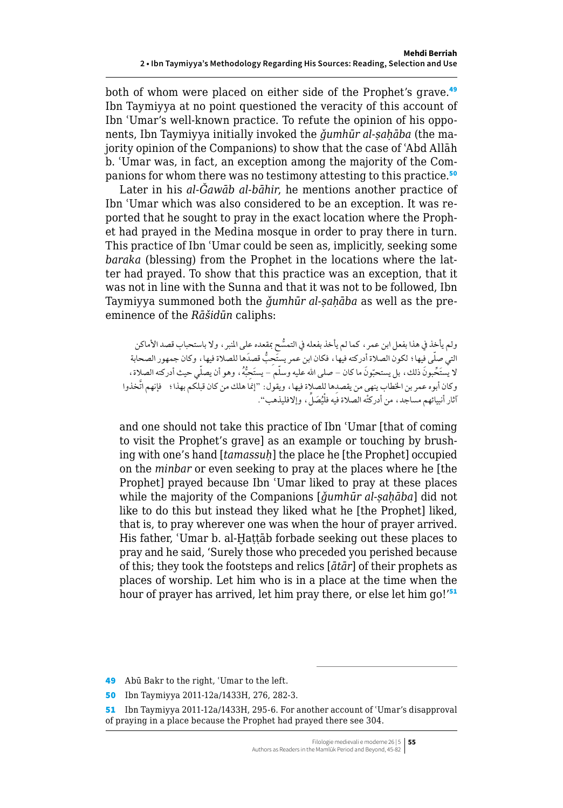both of whom were placed on either side of the Prophet's grave.<sup>49</sup> Ibn Taymiyya at no point questioned the veracity of this account of Ibn ʿUmar's well-known practice. To refute the opinion of his opponents, Ibn Taymiyya initially invoked the *ǧumhūr al-ṣaḥāba* (the majority opinion of the Companions) to show that the case of ʿAbd Allāh b. ʿUmar was, in fact, an exception among the majority of the Companions for whom there was no testimony attesting to this practice.<sup>50</sup>

Later in his *al-Ǧawāb al-bāhir*, he mentions another practice of Ibn ʿUmar which was also considered to be an exception. It was reported that he sought to pray in the exact location where the Prophet had prayed in the Medina mosque in order to pray there in turn. This practice of Ibn ʿUmar could be seen as, implicitly, seeking some *baraka* (blessing) from the Prophet in the locations where the latter had prayed. To show that this practice was an exception, that it was not in line with the Sunna and that it was not to be followed, Ibn Taymiyya summoned both the *ǧumhūr al-ṣaḥāba* as well as the preeminence of the *Rāšidūn* caliphs:

ولم يأخذ في هذا بفعل ابن عمر ، كما لم يأخذ بفعله في التمسُّح بمقعده على المنبر ، ولا باستحباب قصد الأماكن التي صلّى فيها؛ لكون الصلاة أدركته فيها، فكان ابن عمر يستَحِبُّ قصدَها للصلاة فيها، وكان جمهور الصحابة لا يستَحَّبونَ ذلك، بل يستحبّونَ ما كان – صلى الله عليه وسلّم – يستَحِبُّهُ، وهو أن يصلّي حيث أدركته الصلاة، وكان أبوه عمر بن الخطاب ينهى من يقصدها للصلاة فيها، ويقول: "إنما هلك من كان قبلكم بهذا؛ . فإنهم اتَّخذوا أثار أنبيائهم مساجد، من أدركتْه الصلاة فيه فلْيُصَلْ، وإلافليذهب''.

and one should not take this practice of Ibn ʿUmar [that of coming to visit the Prophet's grave] as an example or touching by brushing with one's hand [*tamassuḥ*] the place he [the Prophet] occupied on the *minbar* or even seeking to pray at the places where he [the Prophet] prayed because Ibn ʿUmar liked to pray at these places while the majority of the Companions [*ǧumhūr al-ṣaḥāba*] did not like to do this but instead they liked what he [the Prophet] liked, that is, to pray wherever one was when the hour of prayer arrived. His father, 'Umar b. al-Hattāb forbade seeking out these places to pray and he said, 'Surely those who preceded you perished because of this; they took the footsteps and relics [*ātār*] of their prophets as places of worship. Let him who is in a place at the time when the hour of prayer has arrived, let him pray there, or else let him go!'<sup>51</sup>

49 Abū Bakr to the right, 'Umar to the left.

50 Ibn Taymiyya 2011-12a/1433H, 276, 282-3.

51 Ibn Taymiyya 2011-12a/1433H, 295-6. For another account of ʿUmar's disapproval of praying in a place because the Prophet had prayed there see 304.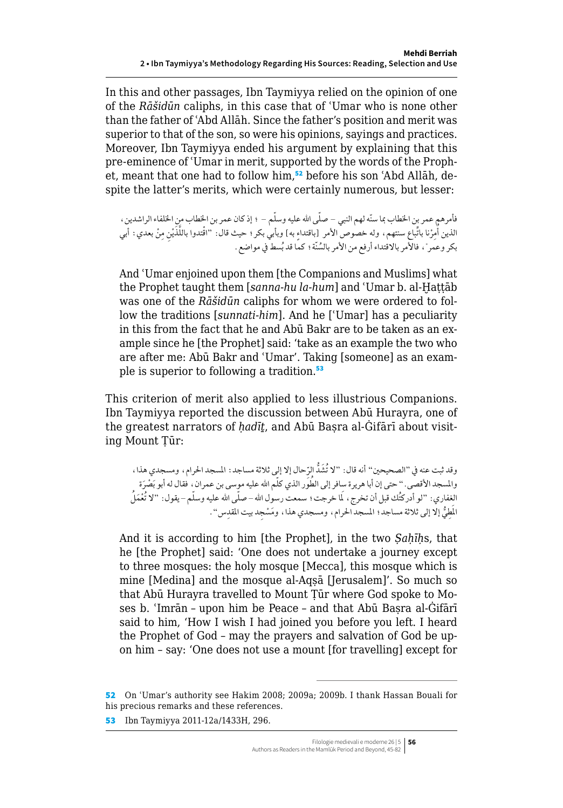In this and other passages, Ibn Taymiyya relied on the opinion of one of the *Rāšidūn* caliphs, in this case that of ʿUmar who is none other than the father of ʿAbd Allāh. Since the father's position and merit was superior to that of the son, so were his opinions, sayings and practices. Moreover, Ibn Taymiyya ended his argument by explaining that this pre-eminence of ʿUmar in merit, supported by the words of the Prophet, meant that one had to follow him,<sup>52</sup> before his son 'Abd Allāh, despite the latter's merits, which were certainly numerous, but lesser:

فأمرهم عمر بن الخطاب بما سنّه لهم النبي – صلّى الله عليه وسلّم – ؛ إذ كان عمر بن الخطاب منٍ الخلفاء الراشدين ، الذين أُمِرْنا باتِّباع سنتهم، وله خصوص الأمر [باقتداء به] وبأبي بكر؛ حيث قال: "اقْتدوا باللَّذَيْنِ مِنْ بعدي: أبي بكر وعمَر"، فالأمر بالاقتداء أرفع من الأمر بالسُنّة؛ كمّا قد بُسط في مواضعٌ.

And ʿUmar enjoined upon them [the Companions and Muslims] what the Prophet taught them [*sanna-hu la-hum*] and ʿUmar b. al-Ḫaṭṭāb was one of the *Rāšidūn* caliphs for whom we were ordered to follow the traditions [*sunnati-him*]. And he [ʿUmar] has a peculiarity in this from the fact that he and Abū Bakr are to be taken as an example since he [the Prophet] said: 'take as an example the two who are after me: Abū Bakr and ʿUmar'. Taking [someone] as an example is superior to following a tradition.<sup>53</sup>

This criterion of merit also applied to less illustrious Companions. Ibn Taymiyya reported the discussion between Abū Hurayra, one of the greatest narrators of *ḥadīṯ*, and Abū Baṣra al-Ġifārī about visiting Mount Ṭūr:

وقد ثبت عنه في "الصحيحين" أنه قال: "لا تَشُدّ الرِّحال إلا إلي ثلاثة مساجد: المسجد الحرام، ومسجدي هذا، والمسجد الأقصى. " حتى إن أبا هريرة سِافر إلى الطَوَر الذي كلّم الله عليه موسى بن عمران، فقال له أبو بَصْرَة الغفاري: "لو أدركتُك قبل أن تخرج ، لَما خرجت؛ سمعت رسول الله – صلّى الله عليه وسلّم – يقول: "لا تُعْمَلُ الْمِطِيُّ إلا إلى ثلاثة مساجد؛ المسجد الحرام، ومسجدي هذا، ومَسْجِد بيت المقدِس".

And it is according to him [the Prophet], in the two *Sahīhs*, that he [the Prophet] said: 'One does not undertake a journey except to three mosques: the holy mosque [Mecca], this mosque which is mine [Medina] and the mosque al-Aqṣā [Jerusalem]'. So much so that Abū Hurayra travelled to Mount Ṭūr where God spoke to Moses b. ʿImrān – upon him be Peace – and that Abū Baṣra al-Ġifārī said to him, 'How I wish I had joined you before you left. I heard the Prophet of God – may the prayers and salvation of God be upon him – say: 'One does not use a mount [for travelling] except for

53 Ibn Taymiyya 2011-12a/1433H, 296.

<sup>52</sup> On ʿUmar's authority see Hakim 2008; 2009a; 2009b. I thank Hassan Bouali for his precious remarks and these references.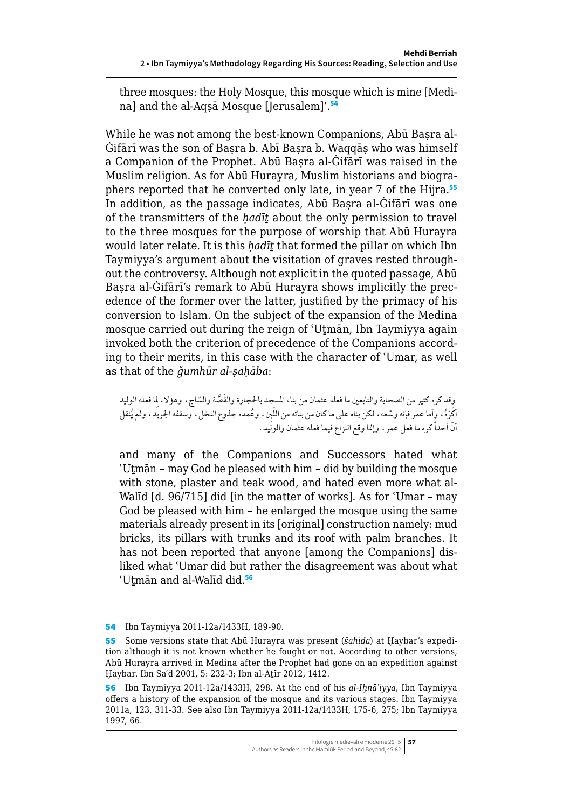three mosques: the Holy Mosque, this mosque which is mine [Medina] and the al-Aqsa Mosque [Jerusalem]'.<sup>54</sup>

While he was not among the best-known Companions, Abū Basra al-Ġifārī was the son of Baṣra b. Abī Baṣra b. Waqqāṣ who was himself a Companion of the Prophet. Abū Baṣra al-Ġifārī was raised in the Muslim religion. As for Abū Hurayra, Muslim historians and biographers reported that he converted only late, in year 7 of the Hijra.<sup>55</sup> In addition, as the passage indicates, Abū Basra al-Ġifārī was one of the transmitters of the *ḥadīṯ* about the only permission to travel to the three mosques for the purpose of worship that Abū Hurayra would later relate. It is this *ḥadīṯ* that formed the pillar on which Ibn Taymiyya's argument about the visitation of graves rested throughout the controversy. Although not explicit in the quoted passage, Abū Basra al-Ġifārī's remark to Abū Hurayra shows implicitly the precedence of the former over the latter, justified by the primacy of his conversion to Islam. On the subject of the expansion of the Medina mosque carried out during the reign of ʿUṯmān, Ibn Taymiyya again invoked both the criterion of precedence of the Companions according to their merits, in this case with the character of ʿUmar, as well as that of the *ǧumhūr al-ṣaḥāba*:

وقد كره كثير من الصحابة والتابعين ما فعله عثمان من بناء المسجد بالحجارة والقَصَّة والسّاج ، وهؤلاء لِما فعله الوليد<br>. أكْرَهُ، وِأما عمر فإنه وسّعه ، لكن بناه على ما كان من بنائه من اللّين ، وعُمده جذوع النخل ، وسقفه الجريد ، ولم يُنقل أنّ أحداً كره ما فعل عمر ، وإنما وقع النزاع فيما فعله عثمان والولّيد .

and many of the Companions and Successors hated what ʿUṯmān – may God be pleased with him – did by building the mosque with stone, plaster and teak wood, and hated even more what al-Walīd [d. 96/715] did [in the matter of works]. As for ʿUmar – may God be pleased with him – he enlarged the mosque using the same materials already present in its [original] construction namely: mud bricks, its pillars with trunks and its roof with palm branches. It has not been reported that anyone [among the Companions] disliked what ʿUmar did but rather the disagreement was about what 'Utmān and al-Walīd did.<sup>56</sup>

<sup>54</sup> Ibn Taymiyya 2011-12a/1433H, 189-90.

<sup>55</sup> Some versions state that Abū Hurayra was present (*šahida*) at Ḫaybar's expedition although it is not known whether he fought or not. According to other versions, Abū Hurayra arrived in Medina after the Prophet had gone on an expedition against Ḫaybar. Ibn Saʿd 2001, 5: 232-3; Ibn al-Aṯīr 2012, 1412.

<sup>56</sup> Ibn Taymiyya 2011-12a/1433H, 298. At the end of his *al-Iḫnāʾiyya*, Ibn Taymiyya offers a history of the expansion of the mosque and its various stages. Ibn Taymiyya 2011a, 123, 311-33. See also Ibn Taymiyya 2011-12a/1433H, 175-6, 275; Ibn Taymiyya 1997, 66.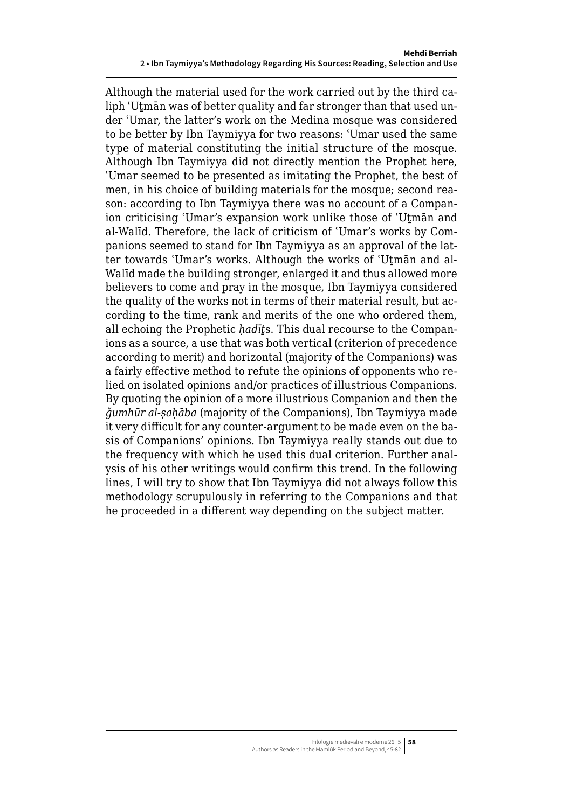<span id="page-13-0"></span>Although the material used for the work carried out by the third caliph ʿUṯmān was of better quality and far stronger than that used under ʿUmar, the latter's work on the Medina mosque was considered to be better by Ibn Taymiyya for two reasons: ʿUmar used the same type of material constituting the initial structure of the mosque. Although Ibn Taymiyya did not directly mention the Prophet here, ʿUmar seemed to be presented as imitating the Prophet, the best of men, in his choice of building materials for the mosque; second reason: according to Ibn Taymiyya there was no account of a Companion criticising ʿUmar's expansion work unlike those of ʿUṯmān and al-Walīd. Therefore, the lack of criticism of ʿUmar's works by Companions seemed to stand for Ibn Taymiyya as an approval of the latter towards ʿUmar's works. Although the works of ʿUṯmān and al-Walīd made the building stronger, enlarged it and thus allowed more believers to come and pray in the mosque, Ibn Taymiyya considered the quality of the works not in terms of their material result, but according to the time, rank and merits of the one who ordered them, all echoing the Prophetic *ḥadīṯ*s. This dual recourse to the Companions as a source, a use that was both vertical (criterion of precedence according to merit) and horizontal (majority of the Companions) was a fairly effective method to refute the opinions of opponents who relied on isolated opinions and/or practices of illustrious Companions. By quoting the opinion of a more illustrious Companion and then the *ǧumhūr al-ṣaḥāba* (majority of the Companions), Ibn Taymiyya made it very difficult for any counter-argument to be made even on the basis of Companions' opinions. Ibn Taymiyya really stands out due to the frequency with which he used this dual criterion. Further analysis of his other writings would confirm this trend. In the following lines, I will try to show that Ibn Taymiyya did not always follow this methodology scrupulously in referring to the Companions and that he proceeded in a different way depending on the subject matter.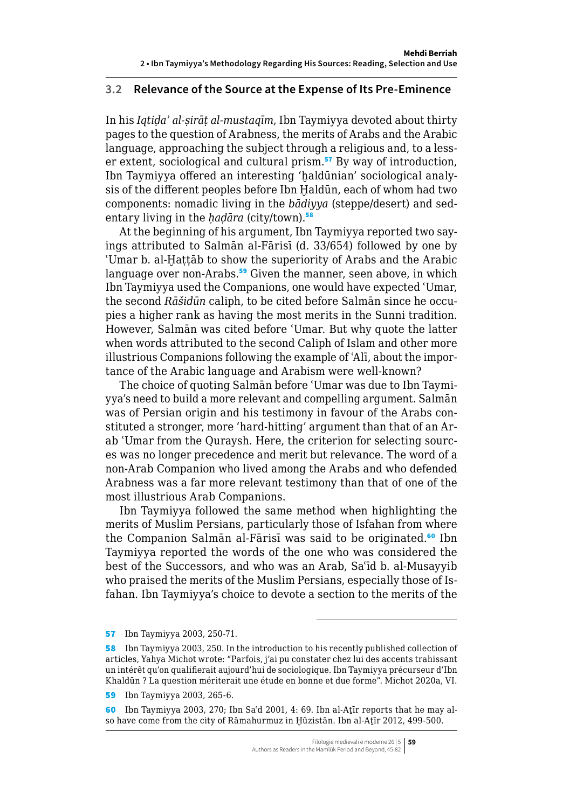#### **3.2 Relevance of the Source at the Expense of Its Pre-Eminence**

In his *Iqtiḍaʾ al-ṣirāṭ al-mustaqīm*, Ibn Taymiyya devoted about thirty pages to the question of Arabness, the merits of Arabs and the Arabic language, approaching the subject through a religious and, to a lesser extent, sociological and cultural prism.<sup>57</sup> By way of introduction, Ibn Taymiyya offered an interesting 'ḫaldūnian' sociological analysis of the different peoples before Ibn Haldūn, each of whom had two components: nomadic living in the *bādiyya* (steppe/desert) and sedentary living in the *hadara* (city/town).<sup>58</sup>

At the beginning of his argument, Ibn Taymiyya reported two sayings attributed to Salmān al-Fārisī (d. 33/654) followed by one by 'Umar b. al-Hattāb to show the superiority of Arabs and the Arabic language over non-Arabs.<sup>59</sup> Given the manner, seen above, in which Ibn Taymiyya used the Companions, one would have expected ʿUmar, the second *Rāšidūn* caliph, to be cited before Salmān since he occupies a higher rank as having the most merits in the Sunni tradition. However, Salmān was cited before ʿUmar. But why quote the latter when words attributed to the second Caliph of Islam and other more illustrious Companions following the example of ʿAlī, about the importance of the Arabic language and Arabism were well-known?

The choice of quoting Salmān before ʿUmar was due to Ibn Taymiyya's need to build a more relevant and compelling argument. Salmān was of Persian origin and his testimony in favour of the Arabs constituted a stronger, more 'hard-hitting' argument than that of an Arab ʿUmar from the Quraysh. Here, the criterion for selecting sources was no longer precedence and merit but relevance. The word of a non-Arab Companion who lived among the Arabs and who defended Arabness was a far more relevant testimony than that of one of the most illustrious Arab Companions.

Ibn Taymiyya followed the same method when highlighting the merits of Muslim Persians, particularly those of Isfahan from where the Companion Salmān al-Fārisī was said to be originated.<sup>60</sup> Ibn Taymiyya reported the words of the one who was considered the best of the Successors, and who was an Arab, Saʿīd b. al-Musayyib who praised the merits of the Muslim Persians, especially those of Isfahan. Ibn Taymiyya's choice to devote a section to the merits of the

57 Ibn Taymiyya 2003, 250-71.

<sup>58</sup> Ibn Taymiyya 2003, 250. In the introduction to his recently published collection of articles, Yahya Michot wrote: "Parfois, j'ai pu constater chez lui des accents trahissant un intérêt qu'on qualifierait aujourd'hui de sociologique. Ibn Taymiyya précurseur d'Ibn Khaldūn ? La question mériterait une étude en bonne et due forme". Michot 2020a, VI.

<sup>59</sup> Ibn Taymiyya 2003, 265-6.

<sup>60</sup> Ibn Taymiyya 2003, 270; Ibn Saʿd 2001, 4: 69. Ibn al-Aṯīr reports that he may also have come from the city of Rāmahurmuz in Ḫūzistān. Ibn al-Aṯīr 2012, 499-500.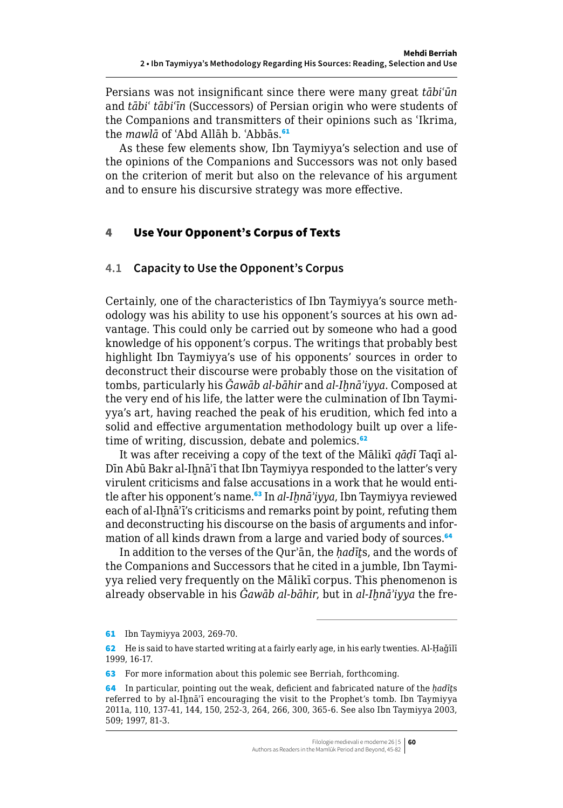<span id="page-15-0"></span>Persians was not insignificant since there were many great *tābiʿūn* and *tābiʿ tābiʿīn* (Successors) of Persian origin who were students of the Companions and transmitters of their opinions such as ʿIkrima, the *mawlā* of ʿAbd Allāh b. ʿAbbās.<sup>61</sup>

As these few elements show, Ibn Taymiyya's selection and use of the opinions of the Companions and Successors was not only based on the criterion of merit but also on the relevance of his argument and to ensure his discursive strategy was more effective.

#### 4 Use Your Opponent's Corpus of Texts

## **4.1 Capacity to Use the Opponent's Corpus**

Certainly, one of the characteristics of Ibn Taymiyya's source methodology was his ability to use his opponent's sources at his own advantage. This could only be carried out by someone who had a good knowledge of his opponent's corpus. The writings that probably best highlight Ibn Taymiyya's use of his opponents' sources in order to deconstruct their discourse were probably those on the visitation of tombs, particularly his *Ǧawāb al-bāhir* and *al-Iḫnāʾiyya*. Composed at the very end of his life, the latter were the culmination of Ibn Taymiyya's art, having reached the peak of his erudition, which fed into a solid and effective argumentation methodology built up over a lifetime of writing, discussion, debate and polemics.<sup>62</sup>

It was after receiving a copy of the text of the Mālikī *qāḍī* Taqī al-Dīn Abū Bakr al-Iḫnāʾī that Ibn Taymiyya responded to the latter's very virulent criticisms and false accusations in a work that he would entitle after his opponent's name.<sup>63</sup> In *al-Ihnā'iyya*, Ibn Taymiyya reviewed each of al-Ihnā'ī's criticisms and remarks point by point, refuting them and deconstructing his discourse on the basis of arguments and information of all kinds drawn from a large and varied body of sources.<sup>64</sup>

In addition to the verses of the Qurʾān, the *ḥadīṯ*s, and the words of the Companions and Successors that he cited in a jumble, Ibn Taymiyya relied very frequently on the Mālikī corpus. This phenomenon is already observable in his *Ğawāb al-bāhir*, but in *al-Ihnā'iyya* the fre-

<sup>61</sup> Ibn Taymiyya 2003, 269-70.

<sup>62</sup> He is said to have started writing at a fairly early age, in his early twenties. Al-Ḥaǧīlī 1999, 16-17.

<sup>63</sup> For more information about this polemic see Berriah, forthcoming.

<sup>64</sup> In particular, pointing out the weak, deficient and fabricated nature of the *ḥadīṯ*s referred to by al-Ihnā'ī encouraging the visit to the Prophet's tomb. Ibn Taymiyya 2011a, 110, 137-41, 144, 150, 252-3, 264, 266, 300, 365-6. See also Ibn Taymiyya 2003, 509; 1997, 81-3.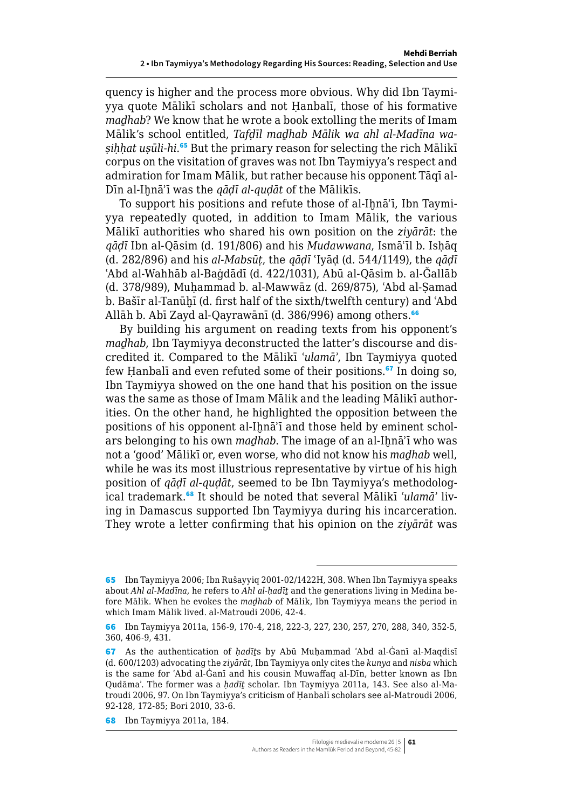quency is higher and the process more obvious. Why did Ibn Taymiyya quote Mālikī scholars and not Ḥanbalī, those of his formative *maḏhab*? We know that he wrote a book extolling the merits of Imam Mālik's school entitled, *Tafḍīl maḏhab Mālik wa ahl al-Madīna waṣiḥḥat uṣūli-hi*. <sup>65</sup> But the primary reason for selecting the rich Mālikī corpus on the visitation of graves was not Ibn Taymiyya's respect and admiration for Imam Mālik, but rather because his opponent Tāqī al-Dīn al-Iḫnāʾī was the *qāḍī al-quḍāt* of the Mālikīs.

To support his positions and refute those of al-Ihnā'ī, Ibn Taymiyya repeatedly quoted, in addition to Imam Mālik, the various Mālikī authorities who shared his own position on the *ziyārāt*: the *qāḍī* Ibn al-Qāsim (d. 191/806) and his *Mudawwana*, Ismāʿīl b. Isḥāq (d. 282/896) and his *al-Mabsūṭ*, the *qāḍī* ʿIyāḍ (d. 544/1149), the *qāḍī* ʿAbd al-Wahhāb al-Baġdādī (d. 422/1031), Abū al-Qāsim b. al-Ǧallāb (d. 378/989), Muḥammad b. al-Mawwāz (d. 269/875), ʿAbd al-Ṣamad b. Bašīr al-Tanūhī (d. first half of the sixth/twelfth century) and 'Abd Allāh b. Abī Zayd al-Qayrawānī (d. 386/996) among others.<sup>66</sup>

By building his argument on reading texts from his opponent's *maḏhab*, Ibn Taymiyya deconstructed the latter's discourse and discredited it. Compared to the Mālikī *ʿulamāʾ*, Ibn Taymiyya quoted few Hanbali and even refuted some of their positions.<sup>67</sup> In doing so, Ibn Taymiyya showed on the one hand that his position on the issue was the same as those of Imam Mālik and the leading Mālikī authorities. On the other hand, he highlighted the opposition between the positions of his opponent al-Ihnā'ī and those held by eminent scholars belonging to his own *madhab*. The image of an al-Ihnā'ī who was not a 'good' Mālikī or, even worse, who did not know his *maḏhab* well, while he was its most illustrious representative by virtue of his high position of *qāḍī al-quḍāt*, seemed to be Ibn Taymiyya's methodological trademark.68 It should be noted that several Mālikī *ʿulamāʾ* living in Damascus supported Ibn Taymiyya during his incarceration. They wrote a letter confirming that his opinion on the *ziyārāt* was

68 Ibn Taymiyya 2011a, 184.

<sup>65</sup> Ibn Taymiyya 2006; Ibn Rušayyiq 2001-02/1422H, 308. When Ibn Taymiyya speaks about *Ahl al-Madīna*, he refers to *Ahl al-ḥadīṯ* and the generations living in Medina before Mālik. When he evokes the *maḏhab* of Mālik, Ibn Taymiyya means the period in which Imam Mālik lived. al-Matroudi 2006, 42-4.

<sup>66</sup> Ibn Taymiyya 2011a, 156-9, 170-4, 218, 222-3, 227, 230, 257, 270, 288, 340, 352-5, 360, 406-9, 431.

<sup>67</sup> As the authentication of *ḥadīṯ*s by Abū Muḥammad ʿAbd al-Ġanī al-Maqdisī (d. 600/1203) advocating the *ziyārāt*, Ibn Taymiyya only cites the *kunya* and *nisba* which is the same for ʿAbd al-Ġanī and his cousin Muwaffaq al-Dīn, better known as Ibn Qudāmaʾ. The former was a *ḥadīṯ* scholar. Ibn Taymiyya 2011a, 143. See also al-Matroudi 2006, 97. On Ibn Taymiyya's criticism of Ḥanbalī scholars see al-Matroudi 2006, 92-128, 172-85; Bori 2010, 33-6.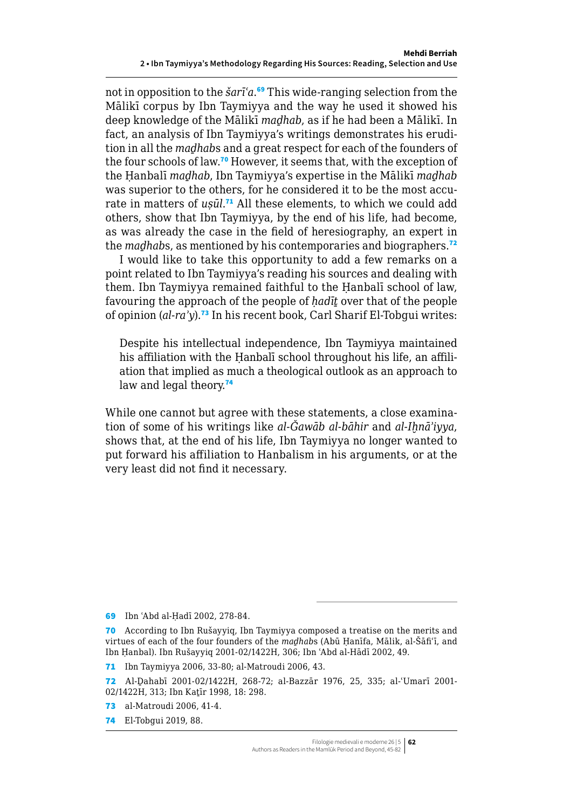<span id="page-17-0"></span>not in opposition to the *šarīʿa*. <sup>69</sup> This wide-ranging selection from the Mālikī corpus by Ibn Taymiyya and the way he used it showed his deep knowledge of the Mālikī *maḏhab*, as if he had been a Mālikī. In fact, an analysis of Ibn Taymiyya's writings demonstrates his erudition in all the *maḏhab*s and a great respect for each of the founders of the four schools of law.<sup>70</sup> However, it seems that, with the exception of the Ḥanbalī *maḏhab*, Ibn Taymiyya's expertise in the Mālikī *maḏhab* was superior to the others, for he considered it to be the most accurate in matters of *uṣūl*. <sup>71</sup> All these elements, to which we could add others, show that Ibn Taymiyya, by the end of his life, had become, as was already the case in the field of heresiography, an expert in the *maghabs*, as mentioned by his contemporaries and biographers.<sup>72</sup>

I would like to take this opportunity to add a few remarks on a point related to Ibn Taymiyya's reading his sources and dealing with them. Ibn Taymiyya remained faithful to the Ḥanbalī school of law, favouring the approach of the people of *ḥadīṯ* over that of the people of opinion (*al-raʾy*).<sup>73</sup> In his recent book, Carl Sharif El-Tobgui writes:

Despite his intellectual independence, Ibn Taymiyya maintained his affiliation with the Ḥanbalī school throughout his life, an affiliation that implied as much a theological outlook as an approach to law and legal theory.<sup>74</sup>

While one cannot but agree with these statements, a close examination of some of his writings like *al-Ǧawāb al-bāhir* and *al-Iḫnāʾiyya*, shows that, at the end of his life, Ibn Taymiyya no longer wanted to put forward his affiliation to Hanbalism in his arguments, or at the very least did not find it necessary.

- 73 al-Matroudi 2006, 41-4.
- 74 El-Tobgui 2019, 88.

<sup>69</sup> Ibn ʿAbd al-Ḥadī 2002, 278-84.

<sup>70</sup> According to Ibn Rušayyiq, Ibn Taymiyya composed a treatise on the merits and virtues of each of the four founders of the *maḏhab*s (Abū Ḥanīfa, Mālik, al-Šāfiʿī, and Ibn Ḥanbal). Ibn Rušayyiq 2001-02/1422H, 306; Ibn ʿAbd al-Hādī 2002, 49.

<sup>71</sup> Ibn Taymiyya 2006, 33-80; al-Matroudi 2006, 43.

<sup>72</sup> Al-Ḏahabī 2001-02/1422H, 268-72; al-Bazzār 1976, 25, 335; al-ʿUmarī 2001- 02/1422H, 313; Ibn Katīr 1998, 18: 298.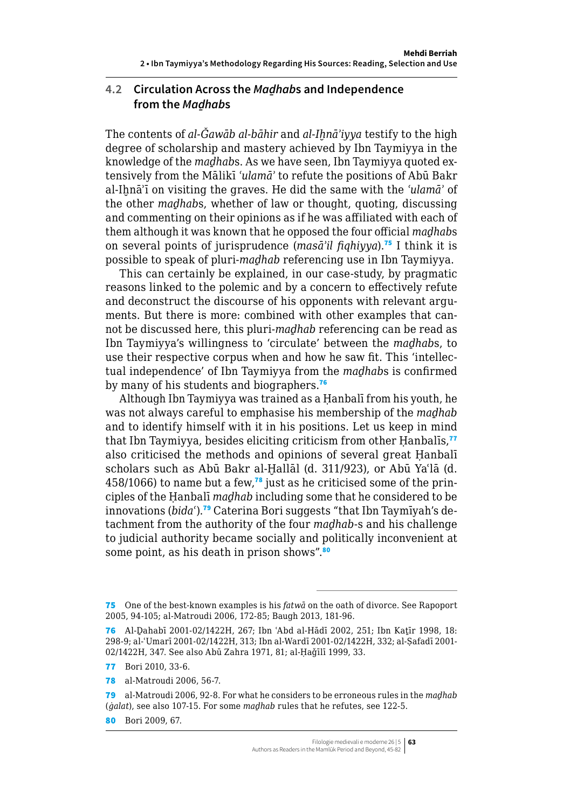### **4.2 Circulation Across the** *Maḏhab***s and Independence from the** *Maḏhab***s**

The contents of *al-Ğawāb al-bāhir* and *al-Ihnā'iyya* testify to the high degree of scholarship and mastery achieved by Ibn Taymiyya in the knowledge of the *maḏhab*s. As we have seen, Ibn Taymiyya quoted extensively from the Mālikī *ʿulamāʾ* to refute the positions of Abū Bakr al-Ihnā'ī on visiting the graves. He did the same with the 'ulamā' of the other *maḏhab*s, whether of law or thought, quoting, discussing and commenting on their opinions as if he was affiliated with each of them although it was known that he opposed the four official *maḏhab*s on several points of jurisprudence (*masāʾil fiqhiyya*).<sup>75</sup> I think it is possible to speak of pluri-*maḏhab* referencing use in Ibn Taymiyya.

This can certainly be explained, in our case-study, by pragmatic reasons linked to the polemic and by a concern to effectively refute and deconstruct the discourse of his opponents with relevant arguments. But there is more: combined with other examples that cannot be discussed here, this pluri-*maḏhab* referencing can be read as Ibn Taymiyya's willingness to 'circulate' between the *maḏhab*s, to use their respective corpus when and how he saw fit. This 'intellectual independence' of Ibn Taymiyya from the *maḏhab*s is confirmed by many of his students and biographers.<sup>76</sup>

Although Ibn Taymiyya was trained as a Ḥanbalī from his youth, he was not always careful to emphasise his membership of the *maḏhab* and to identify himself with it in his positions. Let us keep in mind that Ibn Taymiyya, besides eliciting criticism from other Hanbalis,<sup>77</sup> also criticised the methods and opinions of several great Ḥanbalī scholars such as Abū Bakr al-Ḫallāl (d. 311/923), or Abū Yaʿlā (d. 458/1066) to name but a few,<sup>78</sup> just as he criticised some of the principles of the Ḥanbalī *maḏhab* including some that he considered to be innovations (*bidaʿ*).79 Caterina Bori suggests "that Ibn Taymīyah's detachment from the authority of the four *maḏhab*-s and his challenge to judicial authority became socially and politically inconvenient at some point, as his death in prison shows".<sup>80</sup>

79 al-Matroudi 2006, 92-8. For what he considers to be erroneous rules in the *maḏhab* (*ġalat*), see also 107-15. For some *maḏhab* rules that he refutes, see 122-5.

<sup>75</sup> One of the best-known examples is his *fatwā* on the oath of divorce. See Rapoport 2005, 94-105; al-Matroudi 2006, 172-85; Baugh 2013, 181-96.

<sup>76</sup> Al-Dahabī 2001-02/1422H, 267; Ibn 'Abd al-Hādī 2002, 251; Ibn Katīr 1998, 18: 298-9; al-ʿUmarī 2001-02/1422H, 313; Ibn al-Wardī 2001-02/1422H, 332; al-Ṣafadī 2001- 02/1422H, 347. See also Abū Zahra 1971, 81; al-Ḥaǧīlī 1999, 33.

<sup>77</sup> Bori 2010, 33-6.

<sup>78</sup> al-Matroudi 2006, 56-7.

<sup>80</sup> Bori 2009, 67.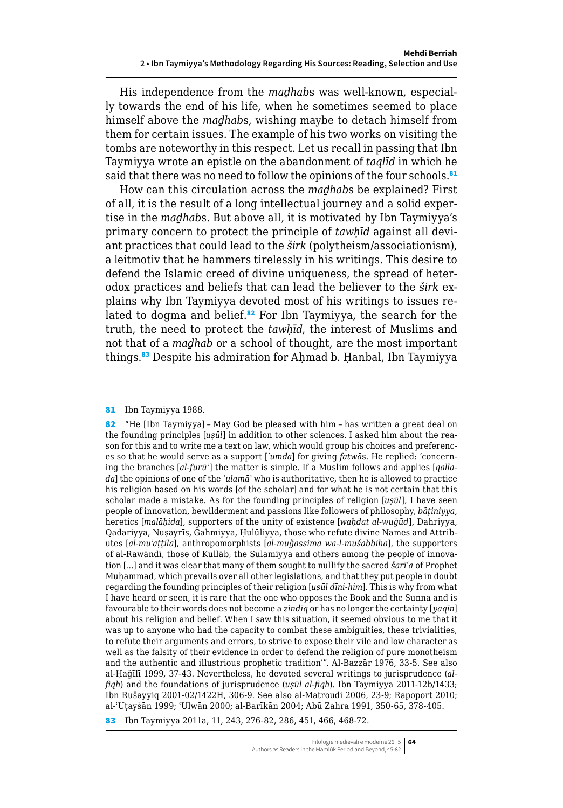His independence from the *maḏhab*s was well-known, especially towards the end of his life, when he sometimes seemed to place himself above the *maḏhab*s, wishing maybe to detach himself from them for certain issues. The example of his two works on visiting the tombs are noteworthy in this respect. Let us recall in passing that Ibn Taymiyya wrote an epistle on the abandonment of *taqlīd* in which he said that there was no need to follow the opinions of the four schools.<sup>81</sup>

How can this circulation across the *maḏhab*s be explained? First of all, it is the result of a long intellectual journey and a solid expertise in the *maḏhab*s. But above all, it is motivated by Ibn Taymiyya's primary concern to protect the principle of *tawḥīd* against all deviant practices that could lead to the *širk* (polytheism/associationism), a leitmotiv that he hammers tirelessly in his writings. This desire to defend the Islamic creed of divine uniqueness, the spread of heterodox practices and beliefs that can lead the believer to the *širk* explains why Ibn Taymiyya devoted most of his writings to issues related to dogma and belief.<sup>82</sup> For Ibn Taymiyya, the search for the truth, the need to protect the *tawḥīd*, the interest of Muslims and not that of a *maḏhab* or a school of thought, are the most important things.<sup>83</sup> Despite his admiration for Ahmad b. Hanbal, Ibn Taymiyya

81 Ibn Taymiyya 1988.

83 Ibn Taymiyya 2011a, 11, 243, 276-82, 286, 451, 466, 468-72.

<sup>82</sup> "He [Ibn Taymiyya] – May God be pleased with him – has written a great deal on the founding principles [*uṣūl*] in addition to other sciences. I asked him about the reason for this and to write me a text on law, which would group his choices and preferences so that he would serve as a support [*ʿumda*] for giving *fatwā*s. He replied: 'concerning the branches [*al-furūʿ*] the matter is simple. If a Muslim follows and applies [*qallada*] the opinions of one of the *ʿulamāʾ* who is authoritative, then he is allowed to practice his religion based on his words [of the scholar] and for what he is not certain that this scholar made a mistake. As for the founding principles of religion [*uṣūl*], I have seen people of innovation, bewilderment and passions like followers of philosophy, *bāṭiniyya*, heretics [*malāḥida*], supporters of the unity of existence [*waḥdat al-wuǧūd*], Dahriyya, Qadariyya, Nuṣayrīs, Ǧahmiyya, Ḥulūliyya, those who refute divine Names and Attributes [*al-muʿaṭṭila*], anthropomorphists [*al-muǧassima wa-l-mušabbiha*], the supporters of al-Rawāndī, those of Kullāb, the Sulamiyya and others among the people of innovation […] and it was clear that many of them sought to nullify the sacred *šarīʿa* of Prophet Muhammad, which prevails over all other legislations, and that they put people in doubt regarding the founding principles of their religion [*uṣūl dīni-him*]. This is why from what I have heard or seen, it is rare that the one who opposes the Book and the Sunna and is favourable to their words does not become a *zindīq* or has no longer the certainty [*yaqīn*] about his religion and belief. When I saw this situation, it seemed obvious to me that it was up to anyone who had the capacity to combat these ambiguities, these trivialities, to refute their arguments and errors, to strive to expose their vile and low character as well as the falsity of their evidence in order to defend the religion of pure monotheism and the authentic and illustrious prophetic tradition'". Al-Bazzār 1976, 33-5. See also al-Ḥaǧīlī 1999, 37-43. Nevertheless, he devoted several writings to jurisprudence (*alfiqh*) and the foundations of jurisprudence (*uṣūl al-fiqh*). Ibn Taymiyya 2011-12b/1433; Ibn Rušayyiq 2001-02/1422H, 306-9. See also al-Matroudi 2006, 23-9; Rapoport 2010; al-ʿUṭayšān 1999; ʿUlwān 2000; al-Barīkān 2004; Abū Zahra 1991, 350-65, 378-405.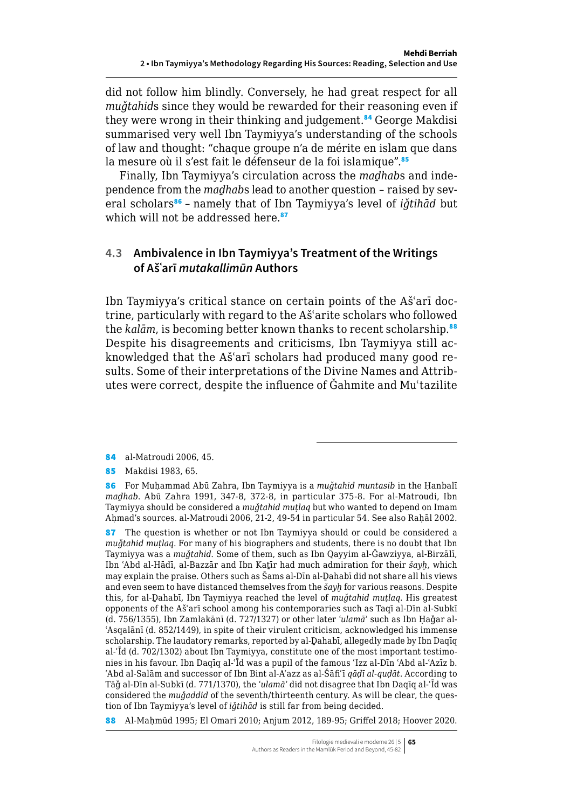<span id="page-20-0"></span>did not follow him blindly. Conversely, he had great respect for all *muǧtahid*s since they would be rewarded for their reasoning even if they were wrong in their thinking and judgement.<sup>84</sup> George Makdisi summarised very well Ibn Taymiyya's understanding of the schools of law and thought: "chaque groupe n'a de mérite en islam que dans la mesure où il s'est fait le défenseur de la foi islamique".<sup>85</sup>

Finally, Ibn Taymiyya's circulation across the *maḏhab*s and independence from the *maḏhab*s lead to another question – raised by several scholars<sup>86</sup> - namely that of Ibn Taymiyya's level of *iǧtihād* but which will not be addressed here.<sup>87</sup>

## **4.3 Ambivalence in Ibn Taymiyya's Treatment of the Writings of Ašʿarī** *mutakallimūn* **Authors**

Ibn Taymiyya's critical stance on certain points of the Ašʿarī doctrine, particularly with regard to the Ašʿarite scholars who followed the *kalām*, is becoming better known thanks to recent scholarship.<sup>88</sup> Despite his disagreements and criticisms, Ibn Taymiyya still acknowledged that the Ašʿarī scholars had produced many good results. Some of their interpretations of the Divine Names and Attributes were correct, despite the influence of Ǧahmite and Muʿtazilite

84 al-Matroudi 2006, 45.

85 Makdisi 1983, 65.

87 The question is whether or not Ibn Taymiyya should or could be considered a *muǧtahid muṭlaq*. For many of his biographers and students, there is no doubt that Ibn Taymiyya was a *muǧtahid*. Some of them, such as Ibn Qayyim al-Ǧawziyya, al-Birzālī, Ibn ʿAbd al-Hādī, al-Bazzār and Ibn Kaṯīr had much admiration for their *šayḫ*, which may explain the praise. Others such as Šams al-Dīn al-Dahabī did not share all his views and even seem to have distanced themselves from the *šayḫ* for various reasons. Despite this, for al-Ḏahabī, Ibn Taymiyya reached the level of *muǧtahid muṭlaq*. His greatest opponents of the Ašʿarī school among his contemporaries such as Taqī al-Dīn al-Subkī (d. 756/1355), Ibn Zamlakānī (d. 727/1327) or other later *ʿulamā*ʾ such as Ibn Ḥaǧar al-ʿAsqalānī (d. 852/1449), in spite of their virulent criticism, acknowledged his immense scholarship. The laudatory remarks, reported by al-Dahabī, allegedly made by Ibn Daqīq al-ʿĪd (d. 702/1302) about Ibn Taymiyya, constitute one of the most important testimonies in his favour. Ibn Daqīq al-ʿĪd was a pupil of the famous ʿIzz al-Dīn ʿAbd al-ʿAzīz b. ʿAbd al-Salām and successor of Ibn Bint al-Aʿazz as al-Šāfiʿī *qāḍī al-quḍāt*. According to Tāǧ al-Dīn al-Subkī (d. 771/1370), the *ʿulamāʾ* did not disagree that Ibn Daqīq al-ʿĪd was considered the *muǧaddid* of the seventh/thirteenth century. As will be clear, the question of Ibn Taymiyya's level of *iǧtihād* is still far from being decided.

88 Al-Maḥmūd 1995; El Omari 2010; Anjum 2012, 189-95; Griffel 2018; Hoover 2020.

<sup>86</sup> For Muḥammad Abū Zahra, Ibn Taymiyya is a *muǧtahid muntasib* in the Ḥanbalī *maḏhab*. Abū Zahra 1991, 347-8, 372-8, in particular 375-8. For al-Matroudi, Ibn Taymiyya should be considered a *muǧtahid muṭlaq* but who wanted to depend on Imam Ahmad's sources. al-Matroudi 2006, 21-2, 49-54 in particular 54. See also Rahāl 2002.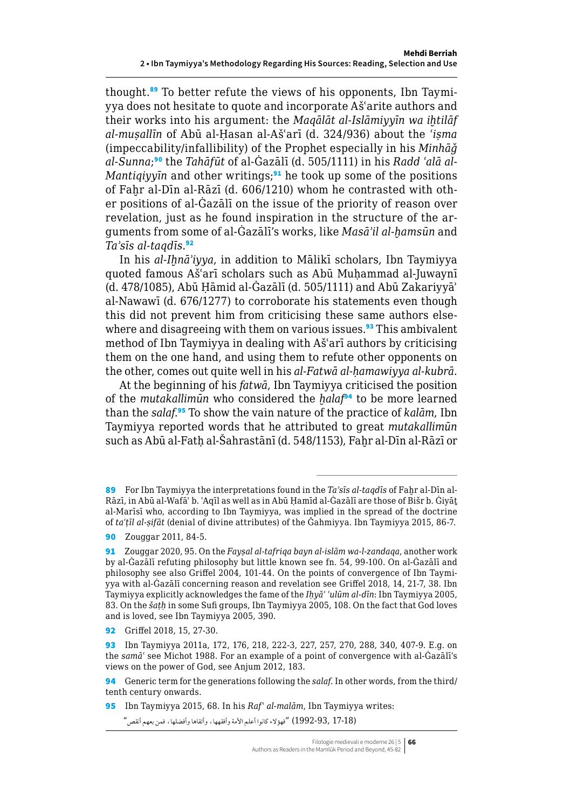thought.89 To better refute the views of his opponents, Ibn Taymiyya does not hesitate to quote and incorporate Ašʿarite authors and their works into his argument: the *Maqālāt al-Islāmiyyīn wa iḫtilāf al-muṣallīn* of Abū al-Ḥasan al-Ašʿarī (d. 324/936) about the *ʿiṣma* (impeccability/infallibility) of the Prophet especially in his *Minhāǧ al-Sunna*; 90 the *Tahāfūt* of al-Ġazālī (d. 505/1111) in his *Radd ʿalā al-Mantiqiyyin* and other writings;<sup>91</sup> he took up some of the positions of Fahr al-Dīn al-Rāzī (d. 606/1210) whom he contrasted with other positions of al-Ġazālī on the issue of the priority of reason over revelation, just as he found inspiration in the structure of the arguments from some of al-Ġazālī's works, like *Masāʾil al-ḫamsūn* and *Taʾsīs al-taqdīs*. 92

In his *al-Iḫnāʾiyya*, in addition to Mālikī scholars, Ibn Taymiyya quoted famous Ašʿarī scholars such as Abū Muḥammad al-Juwaynī (d. 478/1085), Abū Ḥāmid al-Ġazālī (d. 505/1111) and Abū Zakariyyāʾ al-Nawawī (d. 676/1277) to corroborate his statements even though this did not prevent him from criticising these same authors elsewhere and disagreeing with them on various issues.<sup>93</sup> This ambivalent method of Ibn Taymiyya in dealing with Ašʿarī authors by criticising them on the one hand, and using them to refute other opponents on the other, comes out quite well in his *al-Fatwā al-ḥamawiyya al-kubrā*.

At the beginning of his *fatwā*, Ibn Taymiyya criticised the position of the *mutakallimūn* who considered the *ḫalaf*<sup>94</sup> to be more learned than the *salaf*. <sup>95</sup> To show the vain nature of the practice of *kalām*, Ibn Taymiyya reported words that he attributed to great *mutakallimūn* such as Abū al-Fatḥ al-Šahrastānī (d. 548/1153), Faḫr al-Dīn al-Rāzī or

94 Generic term for the generations following the *salaf*. In other words, from the third/ tenth century onwards.

95 Ibn Taymiyya 2015, 68. In his *Rafʿ al-malām*, Ibn Taymiyya writes:

(17-18 1992-93,) "فهؤالء كانوا أعلم األمة وأفقهها، وأتقاها وأفضلها، فمن بعهم أنقص"

<sup>89</sup> For Ibn Taymiyya the interpretations found in the *Ta'sīs al-taqdīs* of Fahr al-Dīn al-Rāzī, in Abū al-Wafāʾ b. ʿAqīl as well as in Abū Ḥamīd al-Ġazālī are those of Bišr b. Ġiyāṯ al-Marīsī who, according to Ibn Taymiyya, was implied in the spread of the doctrine of *taʿṭīl al-ṣifāt* (denial of divine attributes) of the Ǧahmiyya. Ibn Taymiyya 2015, 86-7.

<sup>90</sup> Zouggar 2011, 84-5.

<sup>91</sup> Zouggar 2020, 95. On the *Fayṣal al-tafriqa bayn al-islām wa-l-zandaqa*, another work by al-Ġazālī refuting philosophy but little known see fn. 54, 99-100. On al-Ġazālī and philosophy see also Griffel 2004, 101-44. On the points of convergence of Ibn Taymiyya with al-Ġazālī concerning reason and revelation see Griffel 2018, 14, 21-7, 38. Ibn Taymiyya explicitly acknowledges the fame of the *Iḥyāʾ ʿulūm al-dīn*: Ibn Taymiyya 2005, 83. On the *šaṭḥ* in some Sufi groups, Ibn Taymiyya 2005, 108. On the fact that God loves and is loved, see Ibn Taymiyya 2005, 390.

<sup>92</sup> Griffel 2018, 15, 27-30.

<sup>93</sup> Ibn Taymiyya 2011a, 172, 176, 218, 222-3, 227, 257, 270, 288, 340, 407-9. E.g. on the *samāʿ* see Michot 1988. For an example of a point of convergence with al-Ġazālī's views on the power of God, see Anjum 2012, 183.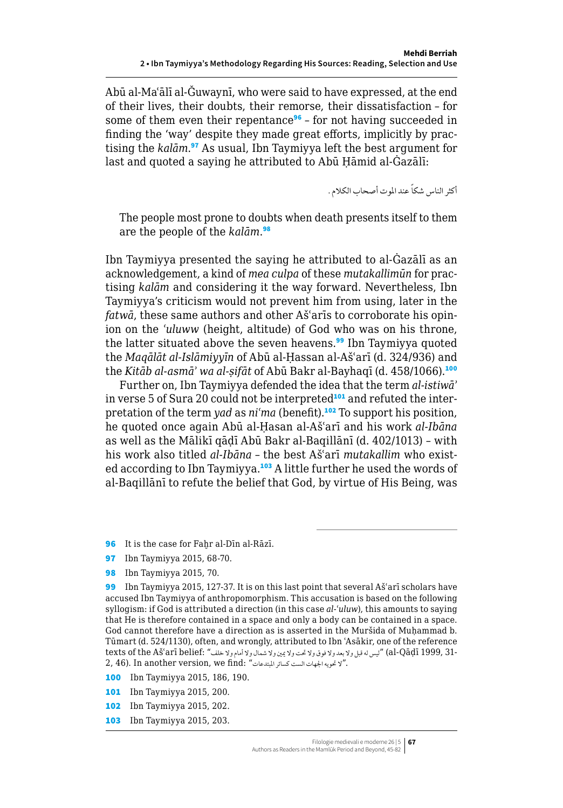Abū al-Maʿālī al-Ǧuwaynī, who were said to have expressed, at the end of their lives, their doubts, their remorse, their dissatisfaction – for some of them even their repentance<sup>96</sup> – for not having succeeded in finding the 'way' despite they made great efforts, implicitly by practising the *kalām*. <sup>97</sup> As usual, Ibn Taymiyya left the best argument for last and quoted a saying he attributed to Abū Ḥāmid al-Ġazālī:

أكثر الناس شكاً عند الموت أصحاب الكلام .

The people most prone to doubts when death presents itself to them are the people of the *kalām*. 98

Ibn Taymiyya presented the saying he attributed to al-Ġazālī as an acknowledgement, a kind of *mea culpa* of these *mutakallimūn* for practising *kalām* and considering it the way forward. Nevertheless, Ibn Taymiyya's criticism would not prevent him from using, later in the *fatwā*, these same authors and other Ašʿarīs to corroborate his opinion on the *ʿuluww* (height, altitude) of God who was on his throne, the latter situated above the seven heavens.<sup>99</sup> Ibn Taymiyya quoted the *Maqālāt al-Islāmiyyīn* of Abū al-Ḥassan al-Ašʿarī (d. 324/936) and the *Kitāb al-asmā*' wa al-sifāt of Abū Bakr al-Bayhaqī (d. 458/1066).<sup>100</sup>

Further on, Ibn Taymiyya defended the idea that the term *al-istiwāʾ* in verse 5 of Sura 20 could not be interpreted<sup>101</sup> and refuted the interpretation of the term *yad* as *niʿma* (benefit).<sup>102</sup> To support his position, he quoted once again Abū al-Ḥasan al-Ašʿarī and his work *al-Ibāna* as well as the Mālikī qāḍī Abū Bakr al-Baqillānī (d. 402/1013) – with his work also titled *al-Ibāna* – the best Ašʿarī *mutakallim* who existed according to Ibn Taymiyya.<sup>103</sup> A little further he used the words of al-Baqillānī to refute the belief that God, by virtue of His Being, was

96 It is the case for Fahr al-Dīn al-Rāzī.

97 Ibn Taymiyya 2015, 68-70.

98 Ibn Taymiyya 2015, 70.

- 100 Ibn Taymiyya 2015, 186, 190.
- 101 Ibn Taymiyya 2015, 200.
- 102 Ibn Taymiyya 2015, 202.
- 103 Ibn Taymiyya 2015, 203.

<sup>99</sup> Ibn Taymiyya 2015, 127-37. It is on this last point that several Aš'arī scholars have accused Ibn Taymiyya of anthropomorphism. This accusation is based on the following syllogism: if God is attributed a direction (in this case *al-ʿuluw*), this amounts to saying that He is therefore contained in a space and only a body can be contained in a space. God cannot therefore have a direction as is asserted in the Muršida of Muhammad b. Tūmart (d. 524/1130), often, and wrongly, attributed to Ibn ʿAsākir, one of the reference texts of the Ašʿarī belief: " ليس له قبل ولا بعد ولا فوق ولا تحت ولا يمين ولا شمال ولا أمام ولا خلف" :bexts of the Ašʿarī belief 2, 46). In another version, we find: "لا تحويه الجهات الست كسائر المبتدعات"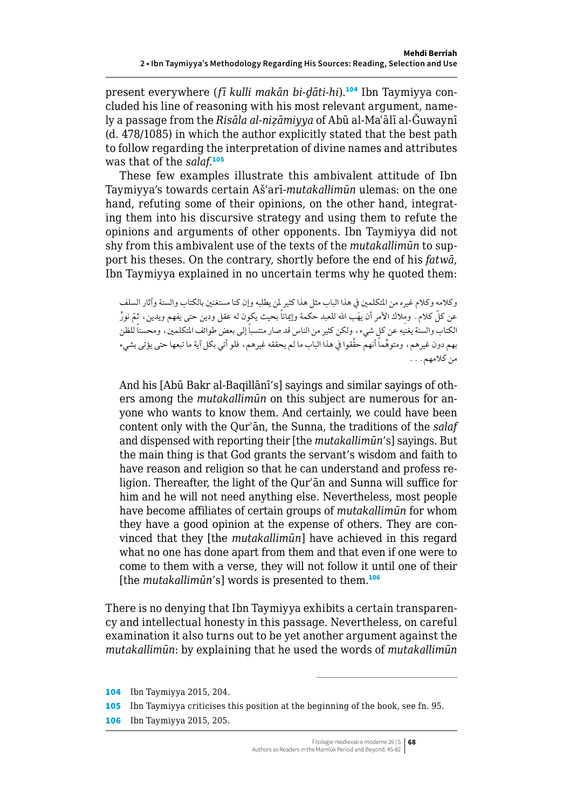present everywhere (*fī kulli makān bi-ḏāti-hi*).104 Ibn Taymiyya concluded his line of reasoning with his most relevant argument, namely a passage from the *Risāla al-niẓāmiyya* of Abū al-Maʿālī al-Ǧuwaynī (d. 478/1085) in which the author explicitly stated that the best path to follow regarding the interpretation of divine names and attributes was that of the *salaf*. 105

These few examples illustrate this ambivalent attitude of Ibn Taymiyya's towards certain Ašʿarī-*mutakallimūn* ulemas: on the one hand, refuting some of their opinions, on the other hand, integrating them into his discursive strategy and using them to refute the opinions and arguments of other opponents. Ibn Taymiyya did not shy from this ambivalent use of the texts of the *mutakallimūn* to support his theses. On the contrary, shortly before the end of his *fatwā*, Ibn Taymiyya explained in no uncertain terms why he quoted them:

وكالمه وكالم غيره من املتكلمني يف هذا الباب مثل هذا كثير ملن يطلبه وإن كنا مستغنني بالكتاب والسنة وآثار السلف عن كلّ كلام . ومِلاك الأمر أن يهَب الله للعبد حكمة وإيماناً بحيث يكوِّن له عقل ودين حتى يفهم ويدين ، ثمّ نورٌ الكتاب والسنة يغنيه عن كلٍ شيء، ولكن كثير من الناس قد صار منتسباً إلى بعض طوائف المتكلمين، ومحسناً للظن بهم دون غيرهم، ومتوهَّماً أنهم حقَّقوا في هذا الباب ما لم يحققه غيرهم، فلو أتي بكل آية ما تبعها حتى يؤتى بشيء من كالمهم...

And his [Abū Bakr al-Baqillānī's] sayings and similar sayings of others among the *mutakallimūn* on this subject are numerous for anyone who wants to know them. And certainly, we could have been content only with the Qurʾān, the Sunna, the traditions of the *salaf* and dispensed with reporting their [the *mutakallimūn*'s] sayings. But the main thing is that God grants the servant's wisdom and faith to have reason and religion so that he can understand and profess religion. Thereafter, the light of the Qurʾān and Sunna will suffice for him and he will not need anything else. Nevertheless, most people have become affiliates of certain groups of *mutakallimūn* for whom they have a good opinion at the expense of others. They are convinced that they [the *mutakallimūn*] have achieved in this regard what no one has done apart from them and that even if one were to come to them with a verse, they will not follow it until one of their [the *mutakallimun's*] words is presented to them.<sup>106</sup>

There is no denying that Ibn Taymiyya exhibits a certain transparency and intellectual honesty in this passage. Nevertheless, on careful examination it also turns out to be yet another argument against the *mutakallimūn*: by explaining that he used the words of *mutakallimūn*

<sup>104</sup> Ibn Taymiyya 2015, 204.

<sup>105</sup> Ibn Taymiyya criticises this position at the beginning of the book, see fn. 95.

<sup>106</sup> Ibn Taymiyya 2015, 205.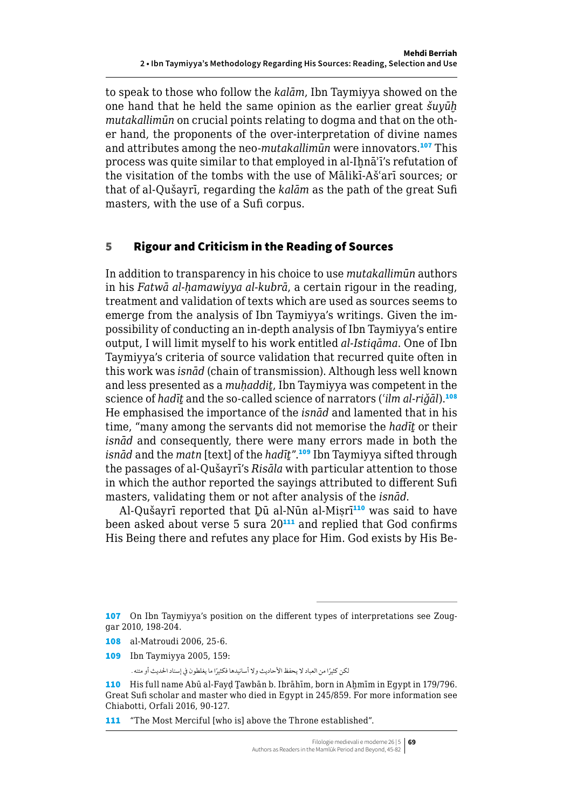<span id="page-24-0"></span>to speak to those who follow the *kalām*, Ibn Taymiyya showed on the one hand that he held the same opinion as the earlier great *šuyūḫ mutakallimūn* on crucial points relating to dogma and that on the other hand, the proponents of the over-interpretation of divine names and attributes among the neo-*mutakallimūn* were innovators.<sup>107</sup> This process was quite similar to that employed in al-Ihnā'ī's refutation of the visitation of the tombs with the use of Mālikī-Ašʿarī sources; or that of al-Qušayrī, regarding the *kalām* as the path of the great Sufi masters, with the use of a Sufi corpus.

#### 5 Rigour and Criticism in the Reading of Sources

In addition to transparency in his choice to use *mutakallimūn* authors in his *Fatwā al-ḥamawiyya al-kubrā*, a certain rigour in the reading, treatment and validation of texts which are used as sources seems to emerge from the analysis of Ibn Taymiyya's writings. Given the impossibility of conducting an in-depth analysis of Ibn Taymiyya's entire output, I will limit myself to his work entitled *al-Istiqāma*. One of Ibn Taymiyya's criteria of source validation that recurred quite often in this work was *isnād* (chain of transmission). Although less well known and less presented as a *muḥaddiṯ*, Ibn Taymiyya was competent in the science of *hadīṯ* and the so-called science of narrators (*ʿilm al-riǧāl*).<sup>108</sup> He emphasised the importance of the *isnād* and lamented that in his time, "many among the servants did not memorise the *hadīṯ* or their *isnād* and consequently, there were many errors made in both the *isnād* and the *matn* [text] of the *hadīṯ*".<sup>109</sup> Ibn Taymiyya sifted through the passages of al-Qušayrī's *Risāla* with particular attention to those in which the author reported the sayings attributed to different Sufi masters, validating them or not after analysis of the *isnād*.

Al-Qušayrī reported that Dū al-Nūn al-Misrī<sup>110</sup> was said to have been asked about verse  $5 \text{ sura } 20^{111}$  and replied that God confirms His Being there and refutes any place for Him. God exists by His Be-

109 Ibn Taymiyya 2005, 159:

لكن كثيرًا من العباد لا يحفظ الأحاديث ولا أسانيدها فكثيرًا ما يغلطون في إسناد الحديث أو متنه .

111 "The Most Merciful [who is] above the Throne established".

<sup>107</sup> On Ibn Taymiyya's position on the different types of interpretations see Zouggar 2010, 198-204.

<sup>108</sup> al-Matroudi 2006, 25-6.

<sup>110</sup> His full name Abū al-Fayd Tawbān b. Ibrāhīm, born in Ahmīm in Egypt in 179/796. Great Sufi scholar and master who died in Egypt in 245/859. For more information see Chiabotti, Orfali 2016, 90-127.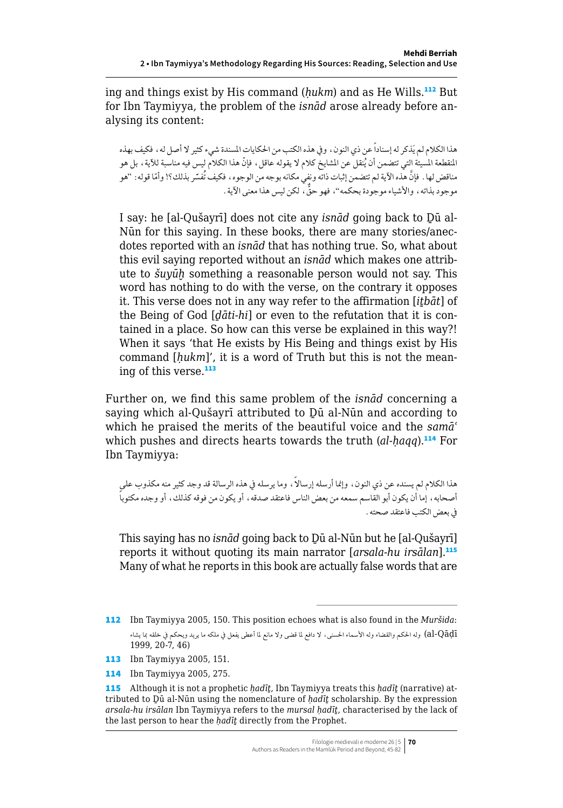ing and things exist by His command (*ḥukm*) and as He Wills.<sup>112</sup> But for Ibn Taymiyya, the problem of the *isnād* arose already before analysing its content:

هذا الكالم لم يَذكر له إسناداً عن ذي النون، ويف هذه الكتب من احلكايات املسندة شيء كثير ال أصل له، فكيف بهذه المنقطعة المسيئة التي تتضمن أن يُنقل عن المشايخ كلام لا يقوله عاقل ، فإنّ هذا الكلام ليس فيه مناسبة للآية ، بل هو مناقض لها. فإنَّ هذه الآية لم تتضمن إثبات ذاته ونفي مكانه بوجه من الوجوه، فكيف تُفسّر بذلك؟! وأمّا قوله: "هو موجود بذاته، والأشياء موجودة بحكمه"، فهو حقٌّ ، لكن ليس هذا معنى الآية .

I say: he [al-Qušayrī] does not cite any *isnād* going back to Ḏū al-Nūn for this saying. In these books, there are many stories/anecdotes reported with an *isnād* that has nothing true. So, what about this evil saying reported without an *isnād* which makes one attribute to *šuyūḫ* something a reasonable person would not say. This word has nothing to do with the verse, on the contrary it opposes it. This verse does not in any way refer to the affirmation [*iṯbāt*] of the Being of God [*ḏāti-hi*] or even to the refutation that it is contained in a place. So how can this verse be explained in this way?! When it says 'that He exists by His Being and things exist by His command [*ḥukm*]', it is a word of Truth but this is not the meaning of this verse.<sup>113</sup>

Further on, we find this same problem of the *isnād* concerning a saying which al-Qušayrī attributed to Ḏū al-Nūn and according to which he praised the merits of the beautiful voice and the *samāʿ* which pushes and directs hearts towards the truth (*al-haqq*).<sup>114</sup> For Ibn Taymiyya:

هذا الكلام لم يسنده عن ذي النون، وإنما أرسله إرسالاً ، وما يرسله في هذه الرسالة قد وجد كثير منه مكذوب على ً أصحابه، إما أن يكون أبو القاسم سمعه من بعض الناس فاعتقد صدقه، أو يكون من فوقه كذلك، أو وجده مكتوبا يف بعض الكتب فاعتقد صحته.

This saying has no *isnād* going back to Ḏū al-Nūn but he [al-Qušayrī] reports it without quoting its main narrator [*arsala-hu irsālan*].<sup>115</sup> Many of what he reports in this book are actually false words that are

114 Ibn Taymiyya 2005, 275.

<sup>112</sup> Ibn Taymiyya 2005, 150. This position echoes what is also found in the *Muršida*: Qāḍī-al (وله احلكم والقضاء وله األسماء احلسنى، ال دافع ملا قضى وال مانع ملا أعطى يفعل يف ملكه ما يريد ويحكم يف خلقه مبا يشاء 1999, 20-7, 46)

<sup>113</sup> Ibn Taymiyya 2005, 151.

<sup>115</sup> Although it is not a prophetic *ḥadīṯ*, Ibn Taymiyya treats this *ḥadīṯ* (narrative) attributed to Ḏū al-Nūn using the nomenclature of *ḥadīṯ* scholarship. By the expression *arsala-hu irsālan* Ibn Taymiyya refers to the *mursal ḥadīṯ*, characterised by the lack of the last person to hear the *ḥadīṯ* directly from the Prophet.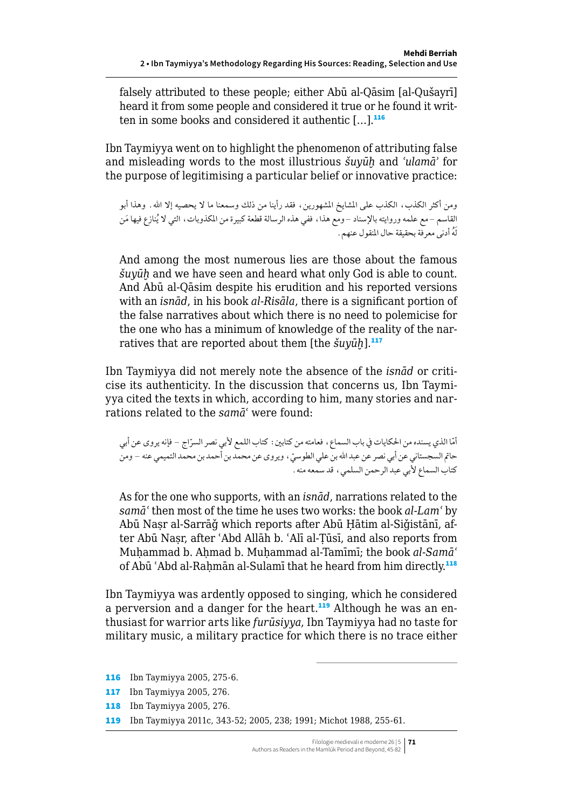falsely attributed to these people; either Abū al-Qāsim [al-Qušayrī] heard it from some people and considered it true or he found it written in some books and considered it authentic  $[...]$ .<sup>116</sup>

Ibn Taymiyya went on to highlight the phenomenon of attributing false and misleading words to the most illustrious *šuyūḫ* and *ʿulamāʾ* for the purpose of legitimising a particular belief or innovative practice:

ومن أكثر الكذب، الكذب على المشايخ المشهورين، فقد رأينا من ذلك وسمعنا ما لا يحصيه إلا الله. وهذا أبو القاسم –مع علمه وروايته بالإسناد –ومع هذا، ففي هذه الرسالة قطعة كبيرة من المكذوبات، التي لا يُنازع فيها مَن لَُه أدنى معرفة بحقيقة حال املنقول عنهم.

And among the most numerous lies are those about the famous *šuyūḫ* and we have seen and heard what only God is able to count. And Abū al-Qāsim despite his erudition and his reported versions with an *isnād*, in his book *al-Risāla*, there is a significant portion of the false narratives about which there is no need to polemicise for the one who has a minimum of knowledge of the reality of the narratives that are reported about them [the *šuyūḫ*].<sup>117</sup>

Ibn Taymiyya did not merely note the absence of the *isnād* or criticise its authenticity. In the discussion that concerns us, Ibn Taymiyya cited the texts in which, according to him, many stories and narrations related to the *samāʿ* were found:

أمّا الذي يسنده من الحكايات في باب السماع، فعامته من كتابين: كتاب اللمع لأبي نصر السرّاج – فإنه يروى عن أبي حاتم السجستاني عن أبي نصر عن عبد الله بن علي الطوسيّ ، ويروى عن محمد بن أحمد بن محمد التميمي عنه – ومن كتاب السماع ألبي عبد الرحمن السلمي، قد سمعه منه.

As for the one who supports, with an *isnād*, narrations related to the *samāʿ* then most of the time he uses two works: the book *al-Lamʿ* by Abū Naṣr al-Sarrāǧ which reports after Abū Ḥātim al-Siǧistānī, after Abū Naṣr, after ʿAbd Allāh b. ʿAlī al-Ṭūsī, and also reports from Muḥammad b. Aḥmad b. Muḥammad al-Tamīmī; the book *al-Samāʿ* of Abū 'Abd al-Raḥmān al-Sulamī that he heard from him directly.<sup>118</sup>

Ibn Taymiyya was ardently opposed to singing, which he considered a perversion and a danger for the heart.<sup>119</sup> Although he was an enthusiast for warrior arts like *furūsiyya*, Ibn Taymiyya had no taste for military music, a military practice for which there is no trace either

 Ibn Taymiyya 2005, 275-6. Ibn Taymiyya 2005, 276. Ibn Taymiyya 2005, 276. Ibn Taymiyya 2011c, 343-52; 2005, 238; 1991; Michot 1988, 255-61.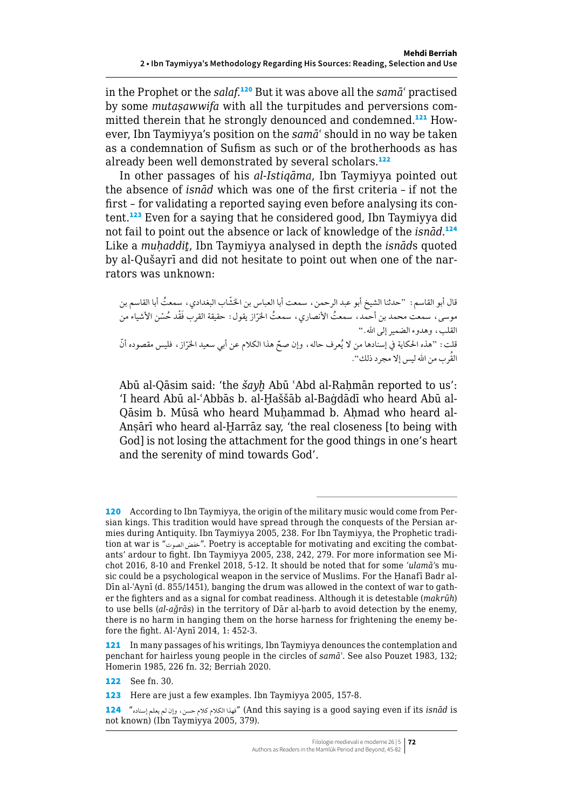in the Prophet or the *salaf*. <sup>120</sup> But it was above all the *samāʿ* practised by some *mutaṣawwifa* with all the turpitudes and perversions committed therein that he strongly denounced and condemned.121 However, Ibn Taymiyya's position on the *samāʿ* should in no way be taken as a condemnation of Sufism as such or of the brotherhoods as has already been well demonstrated by several scholars.<sup>122</sup>

In other passages of his *al-Istiqāma*, Ibn Taymiyya pointed out the absence of *isnād* which was one of the first criteria – if not the first – for validating a reported saying even before analysing its content.<sup>123</sup> Even for a saying that he considered good, Ibn Taymiyya did not fail to point out the absence or lack of knowledge of the *isnād*. 124 Like a *muḥaddiṯ*, Ibn Taymiyya analysed in depth the *isnād*s quoted by al-Qušayrī and did not hesitate to point out when one of the narrators was unknown:

قال أبو القاسم: "حدثنا الشيخ أبو عبد الرحمن، سمعت أبا العباس بن الخشّاب البغدادي، سمعتُ أبا القاسم بن موسى، سمعت محمد بن أحمد، سمعتُ الأنصاري، سمعتُ الخرّاز يقول: حقيقة القرب فَقْد حُسْن الأشياء من القلب، وهدوء الضمير إلى الله." قلت : "هذه الحكاية في إسنادها من لا يُعرف حاله ، وإن صحّ هذا الكلام عن أبي سعيد الخرّاز ، فليس مقصوده أنّ<br>وُ ُ القرب من اهلل ليس إال مجرد ذلك".

Abū al-Qāsim said: 'the *šayh* Abū 'Abd al-Rahmān reported to us': 'I heard Abū al-ʿAbbās b. al-Ḫaššāb al-Baġdādī who heard Abū al-Qāsim b. Mūsā who heard Muhammad b. Ahmad who heard al-Ansārī who heard al-Harrāz say, 'the real closeness [to being with God] is not losing the attachment for the good things in one's heart and the serenity of mind towards God'.

<sup>120</sup> According to Ibn Taymiyya, the origin of the military music would come from Persian kings. This tradition would have spread through the conquests of the Persian armies during Antiquity. Ibn Taymiyya 2005, 238. For Ibn Taymiyya, the Prophetic tradition at war is "الصوت خفض". Poetry is acceptable for motivating and exciting the combatants' ardour to fight. Ibn Taymiyya 2005, 238, 242, 279. For more information see Michot 2016, 8-10 and Frenkel 2018, 5-12. It should be noted that for some *ʿulamāʾ*s music could be a psychological weapon in the service of Muslims. For the Hanafī Badr al-Dīn al-ʿAynī (d. 855/1451), banging the drum was allowed in the context of war to gather the fighters and as a signal for combat readiness. Although it is detestable (*makrūh*) to use bells (*al-aǧrās*) in the territory of Dār al-ḥarb to avoid detection by the enemy, there is no harm in hanging them on the horse harness for frightening the enemy before the fight. Al-ʿAynī 2014, 1: 452-3.

<sup>121</sup> In many passages of his writings, Ibn Taymiyya denounces the contemplation and penchant for hairless young people in the circles of *samāʿ*. See also Pouzet 1983, 132; Homerin 1985, 226 fn. 32; Berriah 2020.

<sup>122</sup> See fn. 30.

<sup>123</sup> Here are just a few examples. Ibn Taymiyya 2005, 157-8.

<sup>124 &</sup>quot;فهذا الكلام كلام حسن، وإن لم يعلم إسناده" (And this saying is a good saying even if its *isnād* is not known) (Ibn Taymiyya 2005, 379).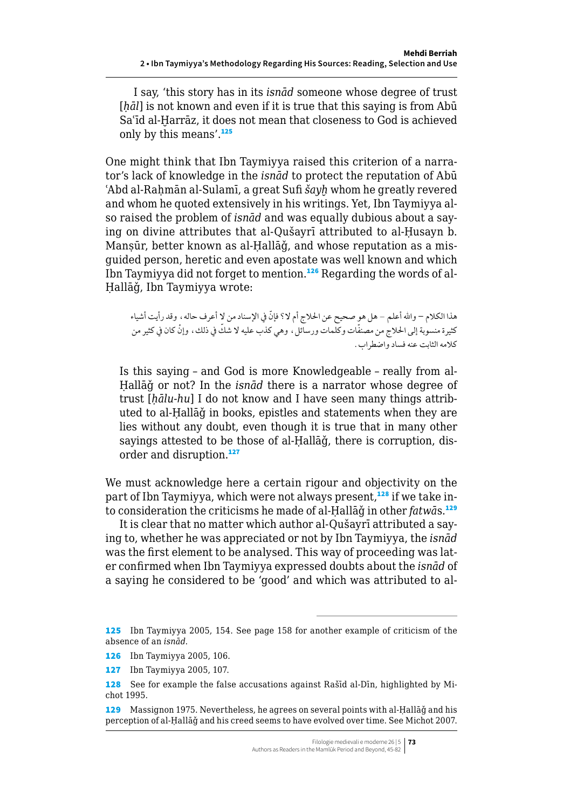I say, 'this story has in its *isnād* someone whose degree of trust [h*āl*] is not known and even if it is true that this saying is from Abū Saʿīd al-Ḫarrāz, it does not mean that closeness to God is achieved only by this means'.<sup>125</sup>

One might think that Ibn Taymiyya raised this criterion of a narrator's lack of knowledge in the *isnād* to protect the reputation of Abū 'Abd al-Rahmān al-Sulamī, a great Sufi *šayh* whom he greatly revered and whom he quoted extensively in his writings. Yet, Ibn Taymiyya also raised the problem of *isnād* and was equally dubious about a saying on divine attributes that al-Qušayrī attributed to al-Ḥusayn b. Manṣūr, better known as al-Ḥallāǧ, and whose reputation as a misguided person, heretic and even apostate was well known and which Ibn Taymiyya did not forget to mention.126 Regarding the words of al-Ḥallāǧ, Ibn Taymiyya wrote:

هذا الكلام – والله أعلم – هل هو صحيح عن الحلاج أم لا؟ فإنّ في الإسناد من لا أعرف حاله، وقد رأيت أشياء كثيرة منسوبة إلى الحلاج من مصنفّات وكلمات ورسائل، وهي كذب عليه لا شكَّ في ذلك، وإنْ كان في كثير من كالمه الثابت عنه فساد واضطراب.

Is this saying – and God is more Knowledgeable – really from al-Ḥallāǧ or not? In the *isnād* there is a narrator whose degree of trust [*ḥālu-hu*] I do not know and I have seen many things attributed to al-Ḥallāǧ in books, epistles and statements when they are lies without any doubt, even though it is true that in many other sayings attested to be those of al-Hallağ, there is corruption, disorder and disruption.<sup>127</sup>

We must acknowledge here a certain rigour and objectivity on the part of Ibn Taymiyya, which were not always present,<sup>128</sup> if we take into consideration the criticisms he made of al-Ḥallāǧ in other *fatwā*s.<sup>129</sup>

It is clear that no matter which author al-Qušayrī attributed a saying to, whether he was appreciated or not by Ibn Taymiyya, the *isnād* was the first element to be analysed. This way of proceeding was later confirmed when Ibn Taymiyya expressed doubts about the *isnād* of a saying he considered to be 'good' and which was attributed to al-

<sup>125</sup> Ibn Taymiyya 2005, 154. See page 158 for another example of criticism of the absence of an *isnād*.

<sup>126</sup> Ibn Taymiyya 2005, 106.

<sup>127</sup> Ibn Taymiyya 2005, 107.

<sup>128</sup> See for example the false accusations against Rašīd al-Dīn, highlighted by Michot 1995.

<sup>129</sup> Massignon 1975. Nevertheless, he agrees on several points with al-Ḥallāǧ and his perception of al-Ḥallāǧ and his creed seems to have evolved over time. See Michot 2007.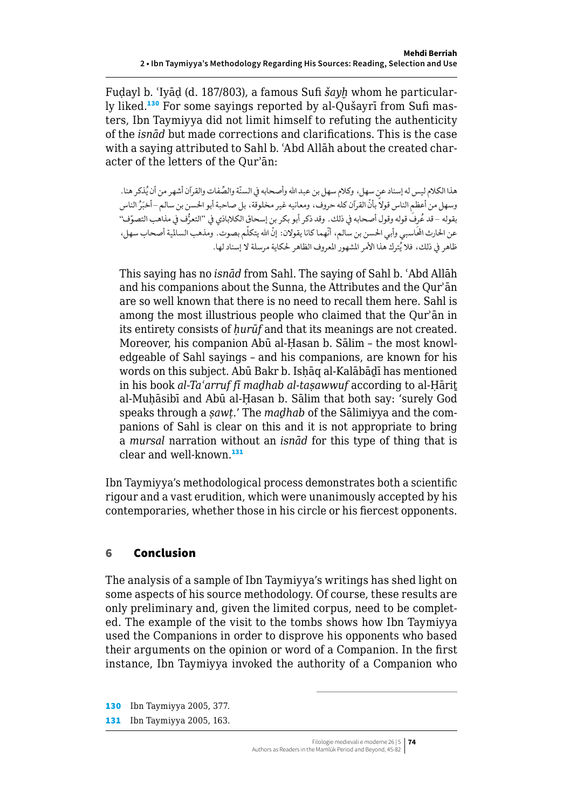<span id="page-29-0"></span>Fuḍayl b. ʿIyāḍ (d. 187/803), a famous Sufi *šayḫ* whom he particularly liked.130 For some sayings reported by al-Qušayrī from Sufi masters, Ibn Taymiyya did not limit himself to refuting the authenticity of the *isnād* but made corrections and clarifications. This is the case with a saying attributed to Sahl b. ʿAbd Allāh about the created character of the letters of the Qurʾān:

هذا الكلام ليس له إسناد عن سهل، وكلام سهل بن عبد الله وأصحابه في السنّة والصِّفات والقرآن أشهر من أن يُذكر هنا. وسهل من أعظم الناس قولاً بأنّ القرآن كله حروف، ومعانيه غير مخلوقة، بل صاحبة أبو الحسن بن سالم – أخبَرُ الناس بقوله –قد عُرِفَ قوله وقول أصحابه في ذلك. وقد ذكر أبو بكر بن إسحاق الكلاباذي في "التعرُّف في مذاهب التصوّف" عن الحارث المحاسبي وأبي الحسن بن سالم، أنّهما كانا يقولان: إنّ الله يتكلّم بصوت. ومذهب السالمية أصحاب سهل، ظاهر في ذلك، فلا يُترك هذا الأمر المشهور المعروف الظاهر لحكاية مرسلة لا إسناد لها.

This saying has no *isnād* from Sahl. The saying of Sahl b. ʿAbd Allāh and his companions about the Sunna, the Attributes and the Qurʾān are so well known that there is no need to recall them here. Sahl is among the most illustrious people who claimed that the Qurʾān in its entirety consists of *ḥurūf* and that its meanings are not created. Moreover, his companion Abū al-Ḥasan b. Sālim – the most knowledgeable of Sahl sayings – and his companions, are known for his words on this subject. Abū Bakr b. Isḥāq al-Kalābāḏī has mentioned in his book *al-Taʿarruf fī maḏhab al-taṣawwuf* according to al-Ḥāriṯ al-Muḥāsibī and Abū al-Ḥasan b. Sālim that both say: 'surely God speaks through a *ṣawṭ*.' The *maḏhab* of the Sālimiyya and the companions of Sahl is clear on this and it is not appropriate to bring a *mursal* narration without an *isnād* for this type of thing that is clear and well-known.<sup>131</sup>

Ibn Taymiyya's methodological process demonstrates both a scientific rigour and a vast erudition, which were unanimously accepted by his contemporaries, whether those in his circle or his fiercest opponents.

## 6 Conclusion

The analysis of a sample of Ibn Taymiyya's writings has shed light on some aspects of his source methodology. Of course, these results are only preliminary and, given the limited corpus, need to be completed. The example of the visit to the tombs shows how Ibn Taymiyya used the Companions in order to disprove his opponents who based their arguments on the opinion or word of a Companion. In the first instance, Ibn Taymiyya invoked the authority of a Companion who

130 Ibn Taymiyya 2005, 377. 131 Ibn Taymiyya 2005, 163.

> Filologie medievali e moderne 26 | 5 **74** Authors as Readers in the Mamlūk Period and Beyond, 45-82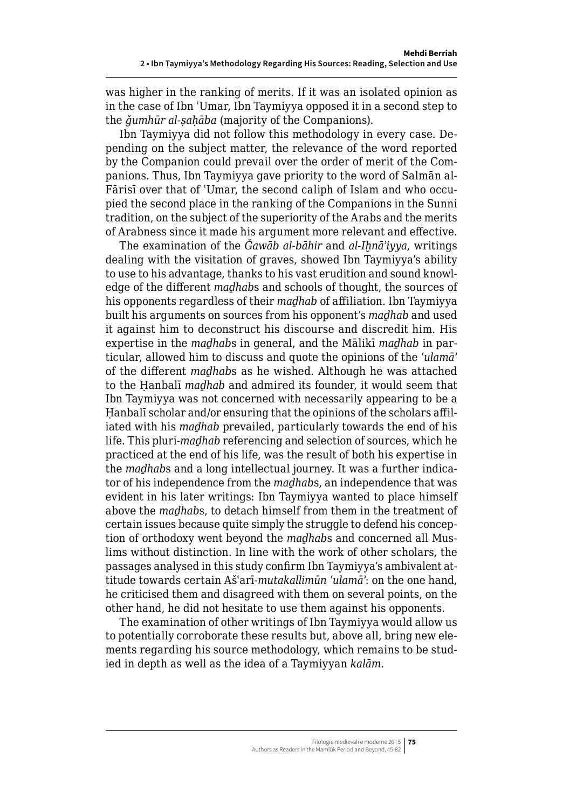was higher in the ranking of merits. If it was an isolated opinion as in the case of Ibn ʿUmar, Ibn Taymiyya opposed it in a second step to the *ǧumhūr al-ṣaḥāba* (majority of the Companions).

Ibn Taymiyya did not follow this methodology in every case. Depending on the subject matter, the relevance of the word reported by the Companion could prevail over the order of merit of the Companions. Thus, Ibn Taymiyya gave priority to the word of Salmān al-Fārisī over that of 'Umar, the second caliph of Islam and who occupied the second place in the ranking of the Companions in the Sunni tradition, on the subject of the superiority of the Arabs and the merits of Arabness since it made his argument more relevant and effective.

The examination of the *Ǧawāb al-bāhir* and *al-Iḫnāʾiyya*, writings dealing with the visitation of graves, showed Ibn Taymiyya's ability to use to his advantage, thanks to his vast erudition and sound knowledge of the different *maḏhab*s and schools of thought, the sources of his opponents regardless of their *maḏhab* of affiliation. Ibn Taymiyya built his arguments on sources from his opponent's *maḏhab* and used it against him to deconstruct his discourse and discredit him. His expertise in the *maḏhab*s in general, and the Mālikī *maḏhab* in particular, allowed him to discuss and quote the opinions of the *ʿulamāʾ* of the different *maḏhab*s as he wished. Although he was attached to the Ḥanbalī *maḏhab* and admired its founder, it would seem that Ibn Taymiyya was not concerned with necessarily appearing to be a Hanbalī scholar and/or ensuring that the opinions of the scholars affiliated with his *maḏhab* prevailed, particularly towards the end of his life. This pluri-*maḏhab* referencing and selection of sources, which he practiced at the end of his life, was the result of both his expertise in the *maḏhab*s and a long intellectual journey. It was a further indicator of his independence from the *maḏhab*s, an independence that was evident in his later writings: Ibn Taymiyya wanted to place himself above the *maḏhab*s, to detach himself from them in the treatment of certain issues because quite simply the struggle to defend his conception of orthodoxy went beyond the *maḏhab*s and concerned all Muslims without distinction. In line with the work of other scholars, the passages analysed in this study confirm Ibn Taymiyya's ambivalent attitude towards certain Ašʿarī-*mutakallimūn ʿulamāʾ*: on the one hand, he criticised them and disagreed with them on several points, on the other hand, he did not hesitate to use them against his opponents.

The examination of other writings of Ibn Taymiyya would allow us to potentially corroborate these results but, above all, bring new elements regarding his source methodology, which remains to be studied in depth as well as the idea of a Taymiyyan *kalām*.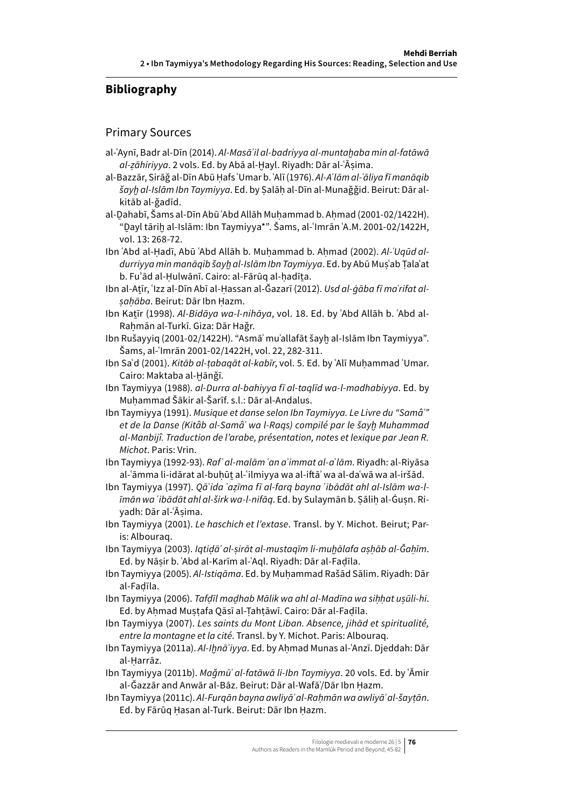## **Bibliography**

#### Primary Sources

- al-ʿAynī, Badr al-Dīn (2014). *Al-Masāʾ il al-badriyya al-muntaḫaba min al-fatāwā al-ẓāhiriyya*. 2 vols. Ed. by Abā al-Ḫayl. Riyadh: Dār al-ʿĀṣima.
- al-Bazzār, Sirāǧ al-Dīn Abū Ḥafs ʿUmar b. ʿAlī (1976). *Al-Aʿlām al-ʿāliya fī manāqib šayḫ al-Islām Ibn Taymiyya*. Ed. by Ṣalāḥ al-Dīn al-Munaǧǧid. Beirut: Dār alkitāb al-ǧadīd.
- al-Dahabī, Šams al-Dīn Abū ʿAbd Allāh Muhammad b. Ahmad (2001-02/1422H). "Ḏayl tāriḫ al-Islām: Ibn Taymiyya\*". Šams, al-ʿImrān ʿA.M. 2001-02/1422H, vol. 13: 268-72.
- Ibn ʿAbd al-Hadī, Abū ʿAbd Allāh b. Muhammad b. Ahmad (2002). Al-ʿUqūd al*durriyya min manāqib šayḫ al-Islām Ibn Taymiyya*. Ed. by Abū Muṣʿab Ṭalaʿat b. Fuʾād al-Ḥulwānī. Cairo: al-Fārūq al-ḥadīṯa.
- Ibn al-Atīr, 'Izz al-Dīn Abī al-Hassan al-Ğazarī (2012). *Usd al-ġāba fī ma'rifat alṣaḥāba*. Beirut: Dār Ibn Ḥazm.
- Ibn Katīr (1998). Al-Bidāya wa-l-nihāya, vol. 18. Ed. by ʿAbd Allāh b. ʿAbd al-Raḥmān al-Turkī. Giza: Dār Haǧr.
- Ibn Rušayyiq (2001-02/1422H). "Asmāʾ muʾallafāt šayḫ al-Islām Ibn Taymiyya". Šams, al-ʿImrān 2001-02/1422H, vol. 22, 282-311.
- Ibn Saʿd (2001). *Kitāb al-ṭabaqāt al-kabīr*, vol. 5. Ed. by ʿAlī Muḥammad ʿUmar. Cairo: Maktaba al-Ḫānǧī.
- Ibn Taymiyya (1988). *al-Durra al-bahiyya fī al-taqlīd wa-l-madhabiyya*. Ed. by Muḥammad Šākir al-Šarīf. s.l.: Dār al-Andalus.
- Ibn Taymiyya (1991). *Musique et danse selon Ibn Taymiyya. Le Livre du "Samâʿ" et de la Danse (Kitâb al-Samâʿ wa l-Raqs) compilé par le šayḫ Muhammad al-Manbijî. Traduction de l'arabe, présentation, notes et lexique par Jean R. Michot*. Paris: Vrin.
- Ibn Taymiyya (1992-93). *Rafʿ al-malām ʿan aʾ immat al-aʿlām*. Riyadh: al-Riyāsa al-ʿāmma li-idārat al-buhūt al-ʿilmiyya wa al-iftāʾ wa al-daʿwā wa al-iršād.
- Ibn Taymiyya (1997). *Qāʿida ʿaẓīma fī al-farq bayna ʿibādāt ahl al-Islām wa-līmān wa ʿibādāt ahl al-širk wa-l-nifāq*. Ed. by Sulaymān b. Ṣāliḥ al-Ġuṣn. Riyadh: Dār al-ʿĀṣima.
- Ibn Taymiyya (2001). *Le haschich et l'extase*. Transl. by Y. Michot. Beirut; Paris: Albouraq.
- Ibn Taymiyya (2003). *Iqtiḍāʾ al-ṣirāt al-mustaqīm li-muḫālafa aṣḥāb al-Ǧaḥīm*. Ed. by Nāṣir b. ʿAbd al-Karīm al-ʿAql. Riyadh: Dār al-Faḍīla.
- Ibn Taymiyya (2005). *Al-Istiqāma*. Ed. by Muḥammad Rašād Sālim. Riyadh: Dār al-Faḍīla.
- Ibn Taymiyya (2006). *Tafḍīl maḏhab Mālik wa ahl al-Madīna wa siḥḥat uṣūli-hi*. Ed. by Aḥmad Muṣṭafa Qāsī al-Ṭahṭāwī. Cairo: Dār al-Faḍīla.
- Ibn Taymiyya (2007). *Les saints du Mont Liban. Absence, jihād et spiritualité, entre la montagne et la cité*. Transl. by Y. Michot. Paris: Albouraq.
- Ibn Taymiyya (2011a). *Al-Iḫnāʾ iyya*. Ed. by Aḥmad Munas al-ʿAnzī. Djeddah: Dār al-Ḥarrāz.
- Ibn Taymiyya (2011b). *Maǧmūʿ al-fatāwā li-Ibn Taymiyya*. 20 vols. Ed. by ʿĀmir al-Ǧazzār and Anwār al-Bāz. Beirut: Dār al-Wafāʾ/Dār Ibn Ḥazm.
- Ibn Taymiyya (2011c). *Al-Furqān bayna awliyāʾ al-Raḥmān wa awliyāʾ al-šayṭān*. Ed. by Fārūq Ḥasan al-Turk. Beirut: Dār Ibn Ḥazm.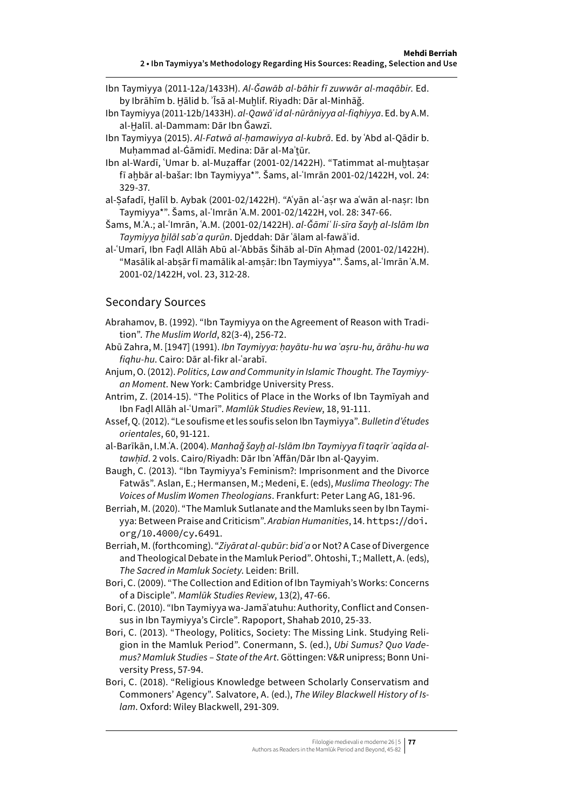- Ibn Taymiyya (2011-12a/1433H). *Al-Ǧawāb al-bāhir fī zuwwār al-maqābir*. Ed. by Ibrāhīm b. Ḫālid b. ʾĪsā al-Muḫlif. Riyadh: Dār al-Minhāǧ.
- Ibn Taymiyya (2011-12b/1433H). *al-Qawāʿid al-nūrāniyya al-fiqhiyya*. Ed. by A.M. al-Halīl. al-Dammam: Dār Ibn Ğawzī.
- Ibn Taymiyya (2015). *Al-Fatwā al-ḥamawiyya al-kubrā*. Ed. by ʿAbd al-Qādir b. Muhammad al-Ġāmidī. Medina: Dār al-Ma'tūr.
- Ibn al-Wardī, 'Umar b. al-Muzaffar (2001-02/1422H). "Tatimmat al-muhtasar fī aḫbār al-bašar: Ibn Taymiyya\*". Šams, al-ʿImrān 2001-02/1422H, vol. 24: 329-37.
- al-Safadī, Halīl b. Aybak (2001-02/1422H). "A'yān al-ʿasr wa a'wān al-nasr: Ibn Taymiyya\*". Šams, al-ʿImrān ʿA.M. 2001-02/1422H, vol. 28: 347-66.
- Šams, M.ʿA.; al-ʿImrān, ʿA.M. (2001-02/1422H). *al-Ǧāmiʿ li-sīra šayḫ al-Islām Ibn Taymiyya ḫilāl sabʿa qurūn*. Djeddah: Dār ʿālam al-fawāʾid.
- al-ʿUmarī, Ibn Faḍl Allāh Abū al-ʿAbbās Šihāb al-Dīn Aḥmad (2001-02/1422H). "Masālik al-abṣār fī mamālik al-amṣār: Ibn Taymiyya\*". Šams, al-ʿImrān ʿA.M. 2001-02/1422H, vol. 23, 312-28.

#### Secondary Sources

- Abrahamov, B. (1992). "Ibn Taymiyya on the Agreement of Reason with Tradition". *The Muslim World*, 82(3-4), 256-72.
- Abū Zahra, M. [1947] (1991). *Ibn Taymiyya: ḥayātu-hu wa ʿaṣru-hu, ārāhu-hu wa fiqhu-hu*. Cairo: Dār al-fikr al-ʿarabī.
- Anjum, O. (2012). *Politics, Law and Community in Islamic Thought. The Taymiyyan Moment*. New York: Cambridge University Press.
- Antrim, Z. (2014-15). "The Politics of Place in the Works of Ibn Taymīyah and Ibn Faḍl Allāh al-ʿUmarī". *Mamlūk Studies Review*, 18, 91-111.
- Assef, Q. (2012). "Le soufisme et les soufis selon Ibn Taymiyya". *Bulletin d'études orientales*, 60, 91-121.
- al-Barīkān, I.M.ʿA. (2004). *Manhaǧ šayḫ al-Islām Ibn Taymiyya fī taqrīr ʿaqīda altawḥīd*. 2 vols. Cairo/Riyadh: Dār Ibn ʿAffān/Dār Ibn al-Qayyim.
- Baugh, C. (2013). "Ibn Taymiyya's Feminism?: Imprisonment and the Divorce Fatwās". Aslan, E.; Hermansen, M.; Medeni, E. (eds), *Muslima Theology: The Voices of Muslim Women Theologians*. Frankfurt: Peter Lang AG, 181-96.
- Berriah, M. (2020). "The Mamluk Sutlanate and the Mamluks seen by Ibn Taymiyya: Between Praise and Criticism". *Arabian Humanities*, 14. [https://doi.](https://doi.org/10.4000/cy.6491) [org/10.4000/cy.6491](https://doi.org/10.4000/cy.6491).
- Berriah, M. (forthcoming). "*Ziyārat al-qubūr*: *bidʿa* or Not? A Case of Divergence and Theological Debate in the Mamluk Period".Ohtoshi, T.; Mallett, A. (eds), *The Sacred in Mamluk Society*. Leiden: Brill.
- Bori, C. (2009). "The Collection and Edition of Ibn Taymiyah's Works: Concerns of a Disciple". *Mamlūk Studies Review*, 13(2), 47-66.
- Bori, C. (2010). "Ibn Taymiyya wa-Jamāʿatuhu: Authority, Conflict and Consensus in Ibn Taymiyya's Circle". Rapoport, Shahab 2010, 25-33.
- Bori, C. (2013). "Theology, Politics, Society: The Missing Link. Studying Religion in the Mamluk Period". Conermann, S. (ed.), *Ubi Sumus? Quo Vademus? Mamluk Studies – State of the Art*. Göttingen: V&R unipress; Bonn University Press, 57-94.
- Bori, C. (2018). "Religious Knowledge between Scholarly Conservatism and Commoners' Agency". Salvatore, A. (ed.), *The Wiley Blackwell History of Islam*. Oxford: Wiley Blackwell, 291-309.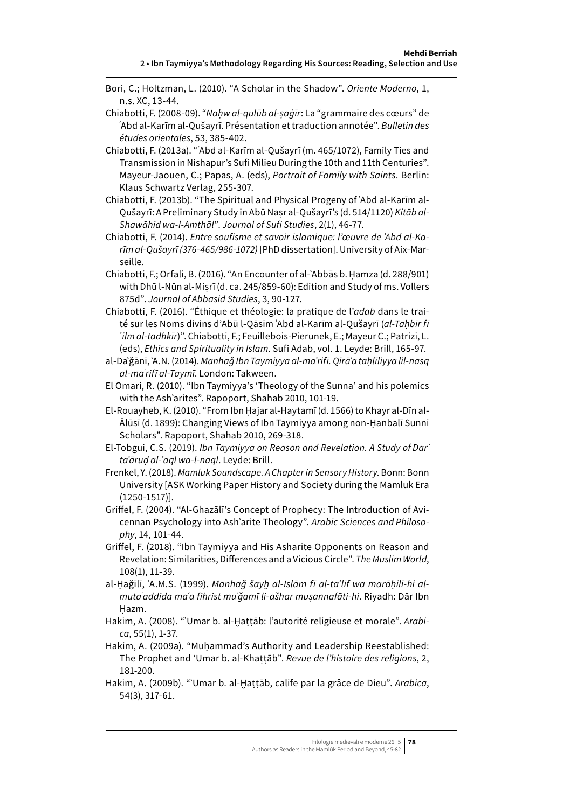- Bori, C.; Holtzman, L. (2010). "A Scholar in the Shadow". *Oriente Moderno*, 1, n.s. XC, 13-44.
- Chiabotti, F. (2008-09). "*Naḥw al-qulūb al-ṣaġīr*: La "grammaire des cœurs" de ʿAbd al-Karīm al-Qušayrī. Présentation et traduction annotée". *Bulletin des études orientales*, 53, 385-402.
- Chiabotti, F. (2013a). "ʿAbd al-Karīm al-Qušayrī (m. 465/1072), Family Ties and Transmission in Nishapur's Sufi Milieu During the 10th and 11th Centuries". Mayeur-Jaouen, C.; Papas, A. (eds), *Portrait of Family with Saints*. Berlin: Klaus Schwartz Verlag, 255-307.
- Chiabotti, F. (2013b). "The Spiritual and Physical Progeny of ʿAbd al-Karīm al-Qušayrī: A Preliminary Study in Abū Naṣr al-Qušayrī's (d. 514/1120) *Kitāb al-Shawāhid wa-l-Amthāl*". *Journal of Sufi Studies*, 2(1), 46-77.
- Chiabotti, F. (2014). *Entre soufisme et savoir islamique: l'œuvre de ʿAbd al-Karīm al-Qušayrī (376-465/986-1072)* [PhD dissertation]. University of Aix-Marseille.
- Chiabotti, F.; Orfali, B. (2016). "An Encounter of al-ʿAbbās b. Ḥamza (d. 288/901) with Dhū l-Nūn al-Miṣrī (d. ca. 245/859-60): Edition and Study of ms. Vollers 875d". *Journal of Abbasid Studies*, 3, 90-127.
- Chiabotti, F. (2016). "Éthique et théologie: la pratique de l'*adab* dans le traité sur les Noms divins d'Abū l-Qāsim ʿAbd al-Karīm al-Qušayrī (*al-Taḥbīr fī ʿilm al-tadhkīr*)". Chiabotti, F.; Feuillebois-Pierunek, E.; Mayeur C.; Patrizi, L. (eds), *Ethics and Spirituality in Islam*. Sufi Adab, vol. 1. Leyde: Brill, 165-97.
- al-Daʿǧānī, ʿA.N. (2014). *Manhaǧ Ibn Taymiyya al-maʿrifī. Qirāʾa taḥlīliyya lil-nasq al-maʿrifī al-Taymī*. London: Takween.
- El Omari, R. (2010). "Ibn Taymiyya's 'Theology of the Sunna' and his polemics with the Ashʿarites". Rapoport, Shahab 2010, 101-19.
- El-Rouayheb, K. (2010). "From Ibn Ḥajar al-Haytamī (d. 1566) to Khayr al-Dīn al-Ālūsī (d. 1899): Changing Views of Ibn Taymiyya among non-Ḥanbalī Sunni Scholars". Rapoport, Shahab 2010, 269-318.
- El-Tobgui, C.S. (2019). *Ibn Taymiyya on Reason and Revelation. A Study of Darʾ taʿāruḍ al-ʿaql wa-l-naql*. Leyde: Brill.
- Frenkel, Y. (2018). *Mamluk Soundscape. A Chapter in Sensory History*. Bonn: Bonn University [ASK Working Paper History and Society during the Mamluk Era (1250-1517)].
- Griffel, F. (2004). "Al-Ghazālī's Concept of Prophecy: The Introduction of Avicennan Psychology into Ashʿarite Theology". *Arabic Sciences and Philosophy*, 14, 101-44.
- Griffel, F. (2018). "Ibn Taymiyya and His Asharite Opponents on Reason and Revelation: Similarities, Differences and a Vicious Circle". *The Muslim World*, 108(1), 11-39.
- al-Ḥaǧīlī, ʿA.M.S. (1999). *Manhaǧ šayḫ al-Islām fī al-taʾlīf wa marāḥili-hi almutaʿaddida maʿa fihrist muʿǧamī li-ašhar muṣannafāti-hi*. Riyadh: Dār Ibn Ḥazm.
- Hakim, A. (2008). "ʿUmar b. al-Ḫaṭṭāb: l'autorité religieuse et morale". *Arabica*, 55(1), 1-37.
- Hakim, A. (2009a). "Muhammad's Authority and Leadership Reestablished: The Prophet and 'Umar b. al-Khaṭṭāb". *Revue de l'histoire des religions*, 2, 181-200.
- Hakim, A. (2009b). "ʿUmar b. al-Ḫaṭṭāb, calife par la grâce de Dieu". *Arabica*, 54(3), 317-61.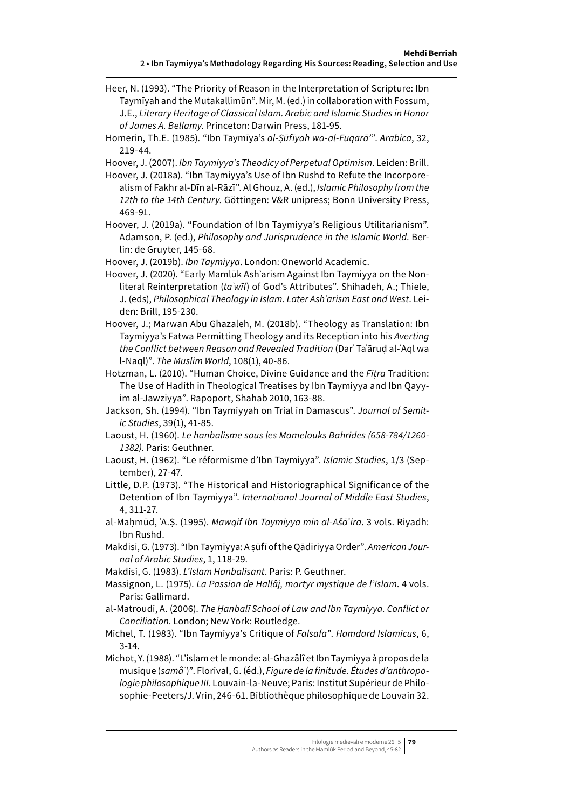- Heer, N. (1993). "The Priority of Reason in the Interpretation of Scripture: Ibn Taymīyah and the Mutakallimūn". Mir, M. (ed.) in collaboration with Fossum, J.E., *Literary Heritage of Classical Islam. Arabic and Islamic Studies in Honor of James A. Bellamy*. Princeton: Darwin Press, 181-95.
- Homerin, Th.E. (1985). "Ibn Taymīya's *al-Ṣūfīyah wa-al-Fuqarā'*". *Arabica*, 32, 219-44.
- Hoover, J. (2007). *Ibn Taymiyya's Theodicy of Perpetual Optimism*. Leiden: Brill.
- Hoover, J. (2018a). "Ibn Taymiyya's Use of Ibn Rushd to Refute the Incorporealism of Fakhr al-Dīn al-Rāzī". Al Ghouz, A. (ed.), *Islamic Philosophy from the 12th to the 14th Century*. Göttingen: V&R unipress; Bonn University Press, 469-91.
- Hoover, J. (2019a). "Foundation of Ibn Taymiyya's Religious Utilitarianism". Adamson, P. (ed.), *Philosophy and Jurisprudence in the Islamic World*. Berlin: de Gruyter, 145-68.
- Hoover, J. (2019b). *Ibn Taymiyya*. London: Oneworld Academic.
- Hoover, J. (2020). "Early Mamlūk Ashʿarism Against Ibn Taymiyya on the Nonliteral Reinterpretation (*taʾwīl*) of God's Attributes". Shihadeh, A.; Thiele, J. (eds), *Philosophical Theology in Islam. Later Ashʿarism East and West*. Leiden: Brill, 195-230.
- Hoover, J.; Marwan Abu Ghazaleh, M. (2018b). "Theology as Translation: Ibn Taymiyya's Fatwa Permitting Theology and its Reception into his *Averting the Conflict between Reason and Revealed Tradition* (Darʿ Taʿāruḍ al-ʿAql wa l-Naql)". *The Muslim World*, 108(1), 40-86.
- Hotzman, L. (2010). "Human Choice, Divine Guidance and the *Fiṭra* Tradition: The Use of Hadith in Theological Treatises by Ibn Taymiyya and Ibn Qayyim al-Jawziyya". Rapoport, Shahab 2010, 163-88.
- Jackson, Sh. (1994). "Ibn Taymiyyah on Trial in Damascus". *Journal of Semitic Studies*, 39(1), 41-85.
- Laoust, H. (1960). *Le hanbalisme sous les Mamelouks Bahrides (658-784/1260- 1382)*. Paris: Geuthner.
- Laoust, H. (1962). "Le réformisme d'Ibn Taymiyya". *Islamic Studies*, 1/3 (September), 27-47.
- Little, D.P. (1973). "The Historical and Historiographical Significance of the Detention of Ibn Taymiyya". *International Journal of Middle East Studies*, 4, 311-27.
- al-Maḥmūd, ʿA.Ṣ. (1995). *Mawqif Ibn Taymiyya min al-Ašāʿira*. 3 vols. Riyadh: Ibn Rushd.
- Makdisi, G. (1973). "Ibn Taymiyya: A ṣūfī of the Qādiriyya Order". *American Journal of Arabic Studies*, 1, 118-29.
- Makdisi, G. (1983). *L'Islam Hanbalisant*. Paris: P. Geuthner.
- Massignon, L. (1975). *La Passion de Hallâj, martyr mystique de l'Islam*. 4 vols. Paris: Gallimard.
- al-Matroudi, A. (2006). *The Ḥanbalī School of Law and Ibn Taymiyya. Conflict or Conciliation*. London; New York: Routledge.
- Michel, T. (1983). "Ibn Taymiyya's Critique of *Falsafa*". *Hamdard Islamicus*, 6, 3-14.
- Michot, Y. (1988). "L'islam et le monde: al-Ghazâlî et Ibn Taymiyya à propos de la musique (*samâʿ*)". Florival, G. (éd.), *Figure de la finitude. Études d'anthropologie philosophique III*. Louvain-la-Neuve; Paris: Institut Supérieur de Philosophie-Peeters/J. Vrin, 246-61. Bibliothèque philosophique de Louvain 32.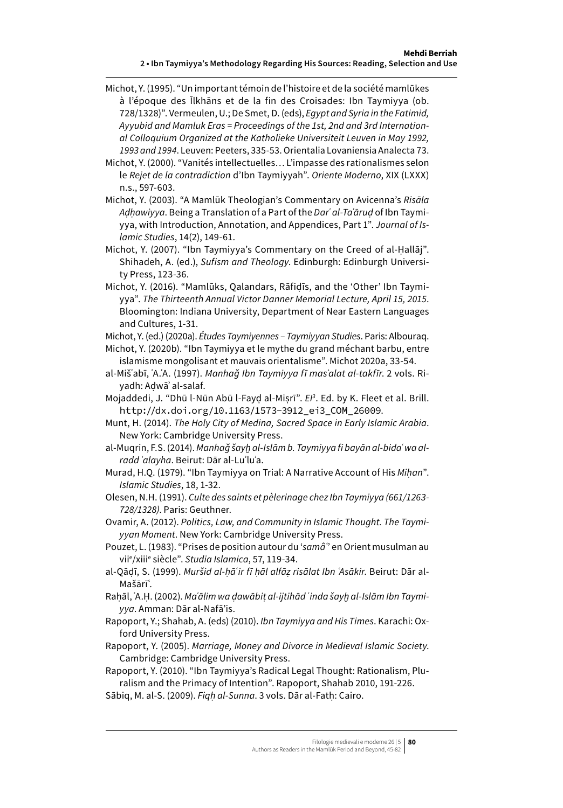- Michot, Y. (1995). "Un important témoin de l'histoire et de la société mamlūkes à l'époque des Īlkhāns et de la fin des Croisades: Ibn Taymiyya (ob. 728/1328)". Vermeulen, U.; De Smet, D. (eds), *Egypt and Syria in the Fatimid, Ayyubid and Mamluk Eras = Proceedings of the 1st, 2nd and 3rd International Colloquium Organized at the Katholieke Universiteit Leuven in May 1992, 1993 and 1994*. Leuven: Peeters, 335-53. Orientalia Lovaniensia Analecta 73.
- Michot, Y. (2000). "Vanités intellectuelles… L'impasse des rationalismes selon le *Rejet de la contradiction* d'Ibn Taymiyyah". *Oriente Moderno*, XIX (LXXX) n.s., 597-603.
- Michot, Y. (2003). "A Mamlūk Theologian's Commentary on Avicenna's *Risāla Aḍḥawiyya*. Being a Translation of a Part of the *Darʿ al-Taʿāruḍ* of Ibn Taymiyya, with Introduction, Annotation, and Appendices, Part 1". *Journal of Islamic Studies*, 14(2), 149-61.
- Michot, Y. (2007). "Ibn Taymiyya's Commentary on the Creed of al-Ḥallāj". Shihadeh, A. (ed.), *Sufism and Theology*. Edinburgh: Edinburgh University Press, 123-36.
- Michot, Y. (2016). "Mamlūks, Qalandars, Rāfiḍīs, and the 'Other' Ibn Taymiyya". *The Thirteenth Annual Victor Danner Memorial Lecture, April 15, 2015*. Bloomington: Indiana University, Department of Near Eastern Languages and Cultures, 1-31.
- Michot, Y. (ed.) (2020a). *Études Taymiyennes – Taymiyyan Studies*. Paris: Albouraq. Michot, Y. (2020b). "Ibn Taymiyya et le mythe du grand méchant barbu, entre
- islamisme mongolisant et mauvais orientalisme". Michot 2020a, 33-54.
- al-Mišʿabī, ʿA.ʿA. (1997). *Manhaǧ Ibn Taymiyya fī masʾalat al-takfīr*. 2 vols. Riyadh: Aḍwāʾ al-salaf.
- Mojaddedi, J. "Dhū l-Nūn Abū l-Fayḍ al-Miṣrī". *EI3* . Ed. by K. Fleet et al. Brill. [http://dx.doi.org/10.1163/1573-3912\\_ei3\\_COM\\_26009](http://dx.doi.org/10.1163/1573-3912_ei3_COM_26009).
- Munt, H. (2014). *The Holy City of Medina, Sacred Space in Early Islamic Arabia*. New York: Cambridge University Press.
- al-Muqrin, F.S. (2014). *Manhaǧ šayḫ al-Islām b. Taymiyya fi bayān al-bidaʿ wa alradd ʿalayha*. Beirut: Dār al-Luʾluʾa.
- Murad, H.Q. (1979). "Ibn Taymiyya on Trial: A Narrative Account of His *Miḥan*". *Islamic Studies*, 18, 1-32.
- Olesen, N.H. (1991). *Culte des saints et pèlerinage chez Ibn Taymiyya (661/1263- 728/1328)*. Paris: Geuthner.
- Ovamir, A. (2012). *Politics, Law, and Community in Islamic Thought. The Taymiyyan Moment*. New York: Cambridge University Press.
- Pouzet, L. (1983). "Prises de position autour du '*samâʿ*' en Orient musulman au viie /xiiie siècle". *Studia Islamica*, 57, 119-34.
- al-Qāḍī, S. (1999). *Muršid al-ḥāʿir fī ḥāl alfāẓ risālat Ibn ʿAsākir*. Beirut: Dār al-Mašārīʿ.
- Raḥāl, ʿA.Ḥ. (2002). *Maʿālim wa ḍawābiṭ al-ijtihād ʿinda šayḫ al-Islām Ibn Taymiyya*. Amman: Dār al-Nafā'is.
- Rapoport, Y.; Shahab, A. (eds) (2010). *Ibn Taymiyya and His Times*. Karachi: Oxford University Press.
- Rapoport, Y. (2005). *Marriage, Money and Divorce in Medieval Islamic Society*. Cambridge: Cambridge University Press.
- Rapoport, Y. (2010). "Ibn Taymiyya's Radical Legal Thought: Rationalism, Pluralism and the Primacy of Intention". Rapoport, Shahab 2010, 191-226.
- Sābiq, M. al-S. (2009). *Fiqḥ al-Sunna*. 3 vols. Dār al-Fatḥ: Cairo.